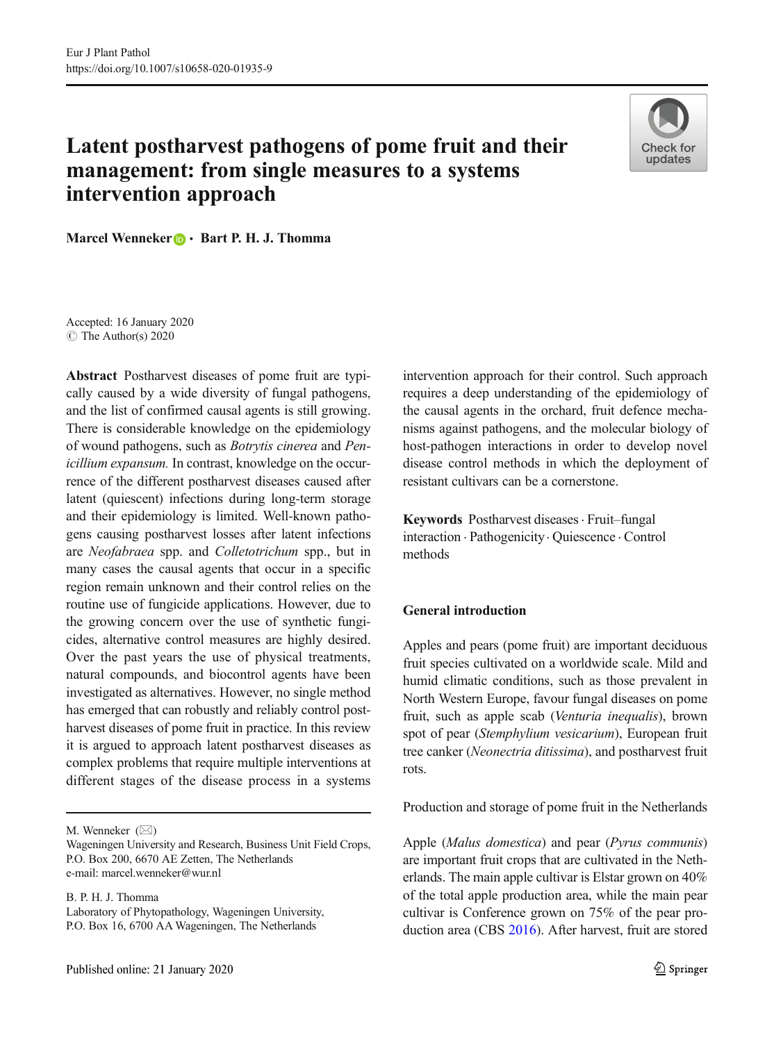# Latent postharvest pathogens of pome fruit and their management: from single measures to a systems intervention approach



Marcel Wenneker **D** · Bart P. H. J. Thomma

Accepted: 16 January 2020  $\odot$  The Author(s) 2020

Abstract Postharvest diseases of pome fruit are typically caused by a wide diversity of fungal pathogens, and the list of confirmed causal agents is still growing. There is considerable knowledge on the epidemiology of wound pathogens, such as Botrytis cinerea and Penicillium expansum. In contrast, knowledge on the occurrence of the different postharvest diseases caused after latent (quiescent) infections during long-term storage and their epidemiology is limited. Well-known pathogens causing postharvest losses after latent infections are Neofabraea spp. and Colletotrichum spp., but in many cases the causal agents that occur in a specific region remain unknown and their control relies on the routine use of fungicide applications. However, due to the growing concern over the use of synthetic fungicides, alternative control measures are highly desired. Over the past years the use of physical treatments, natural compounds, and biocontrol agents have been investigated as alternatives. However, no single method has emerged that can robustly and reliably control postharvest diseases of pome fruit in practice. In this review it is argued to approach latent postharvest diseases as complex problems that require multiple interventions at different stages of the disease process in a systems

M. Wenneker  $(\boxtimes)$ 

B. P. H. J. Thomma Laboratory of Phytopathology, Wageningen University, P.O. Box 16, 6700 AA Wageningen, The Netherlands

intervention approach for their control. Such approach requires a deep understanding of the epidemiology of the causal agents in the orchard, fruit defence mechanisms against pathogens, and the molecular biology of host-pathogen interactions in order to develop novel disease control methods in which the deployment of resistant cultivars can be a cornerstone.

Keywords Postharvest diseases · Fruit–fungal interaction . Pathogenicity. Quiescence . Control methods

## General introduction

Apples and pears (pome fruit) are important deciduous fruit species cultivated on a worldwide scale. Mild and humid climatic conditions, such as those prevalent in North Western Europe, favour fungal diseases on pome fruit, such as apple scab (Venturia inequalis), brown spot of pear (Stemphylium vesicarium), European fruit tree canker (Neonectria ditissima), and postharvest fruit rots.

Production and storage of pome fruit in the Netherlands

Apple (Malus domestica) and pear (Pyrus communis) are important fruit crops that are cultivated in the Netherlands. The main apple cultivar is Elstar grown on 40% of the total apple production area, while the main pear cultivar is Conference grown on 75% of the pear production area (CBS [2016](#page-12-0)). After harvest, fruit are stored

Wageningen University and Research, Business Unit Field Crops, P.O. Box 200, 6670 AE Zetten, The Netherlands e-mail: marcel.wenneker@wur.nl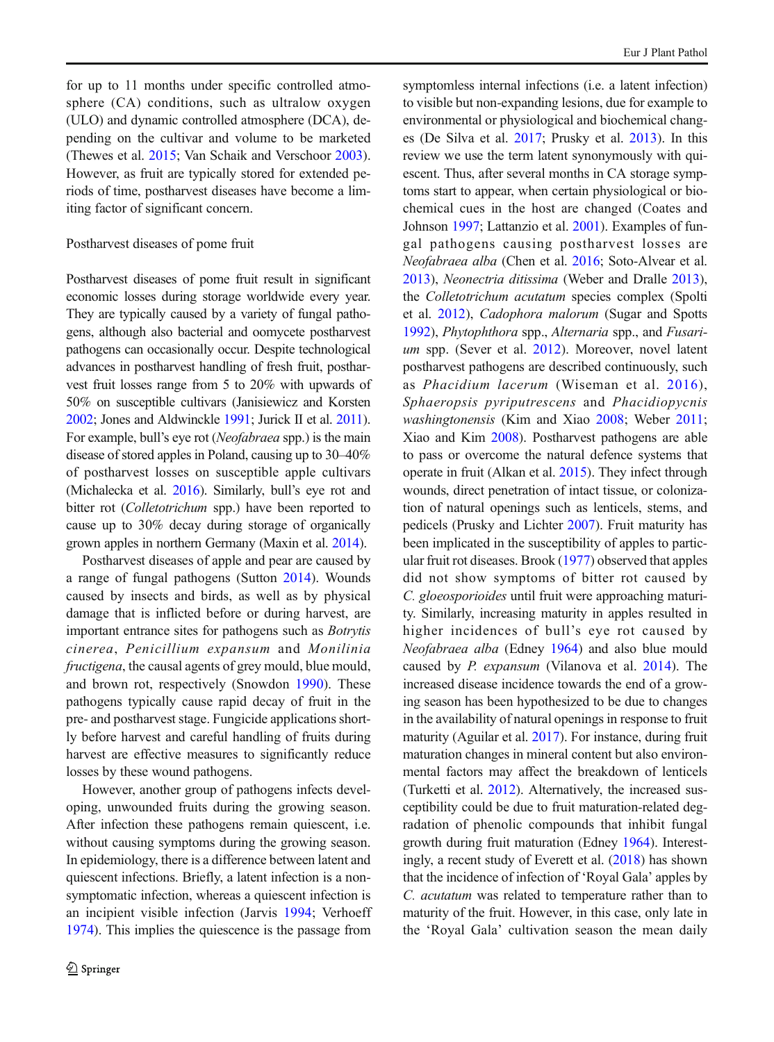for up to 11 months under specific controlled atmosphere (CA) conditions, such as ultralow oxygen (ULO) and dynamic controlled atmosphere (DCA), depending on the cultivar and volume to be marketed (Thewes et al. [2015;](#page-17-0) Van Schaik and Verschoor [2003\)](#page-17-0). However, as fruit are typically stored for extended periods of time, postharvest diseases have become a limiting factor of significant concern.

## Postharvest diseases of pome fruit

Postharvest diseases of pome fruit result in significant economic losses during storage worldwide every year. They are typically caused by a variety of fungal pathogens, although also bacterial and oomycete postharvest pathogens can occasionally occur. Despite technological advances in postharvest handling of fresh fruit, postharvest fruit losses range from 5 to 20% with upwards of 50% on susceptible cultivars (Janisiewicz and Korsten [2002;](#page-14-0) Jones and Aldwinckle [1991](#page-14-0); Jurick II et al. [2011\)](#page-14-0). For example, bull's eye rot (Neofabraea spp.) is the main disease of stored apples in Poland, causing up to 30–40% of postharvest losses on susceptible apple cultivars (Michalecka et al. [2016](#page-15-0)). Similarly, bull's eye rot and bitter rot (Colletotrichum spp.) have been reported to cause up to 30% decay during storage of organically grown apples in northern Germany (Maxin et al. [2014](#page-15-0)).

Postharvest diseases of apple and pear are caused by a range of fungal pathogens (Sutton [2014](#page-16-0)). Wounds caused by insects and birds, as well as by physical damage that is inflicted before or during harvest, are important entrance sites for pathogens such as Botrytis cinerea, Penicillium expansum and Monilinia fructigena, the causal agents of grey mould, blue mould, and brown rot, respectively (Snowdon [1990\)](#page-16-0). These pathogens typically cause rapid decay of fruit in the pre- and postharvest stage. Fungicide applications shortly before harvest and careful handling of fruits during harvest are effective measures to significantly reduce losses by these wound pathogens.

However, another group of pathogens infects developing, unwounded fruits during the growing season. After infection these pathogens remain quiescent, i.e. without causing symptoms during the growing season. In epidemiology, there is a difference between latent and quiescent infections. Briefly, a latent infection is a nonsymptomatic infection, whereas a quiescent infection is an incipient visible infection (Jarvis [1994;](#page-14-0) Verhoeff [1974](#page-17-0)). This implies the quiescence is the passage from

symptomless internal infections (i.e. a latent infection) to visible but non-expanding lesions, due for example to environmental or physiological and biochemical changes (De Silva et al. [2017](#page-12-0); Prusky et al. [2013\)](#page-16-0). In this review we use the term latent synonymously with quiescent. Thus, after several months in CA storage symptoms start to appear, when certain physiological or biochemical cues in the host are changed (Coates and Johnson [1997](#page-12-0); Lattanzio et al. [2001](#page-14-0)). Examples of fungal pathogens causing postharvest losses are Neofabraea alba (Chen et al. [2016](#page-12-0); Soto-Alvear et al. [2013](#page-16-0)), Neonectria ditissima (Weber and Dralle [2013\)](#page-17-0), the Colletotrichum acutatum species complex (Spolti et al. [2012](#page-16-0)), Cadophora malorum (Sugar and Spotts [1992](#page-16-0)), Phytophthora spp., Alternaria spp., and Fusari-um spp. (Sever et al. [2012\)](#page-16-0). Moreover, novel latent postharvest pathogens are described continuously, such as Phacidium lacerum (Wiseman et al. [2016](#page-18-0)), Sphaeropsis pyriputrescens and Phacidiopycnis washingtonensis (Kim and Xiao [2008](#page-14-0); Weber [2011;](#page-17-0) Xiao and Kim [2008\)](#page-18-0). Postharvest pathogens are able to pass or overcome the natural defence systems that operate in fruit (Alkan et al. [2015](#page-11-0)). They infect through wounds, direct penetration of intact tissue, or colonization of natural openings such as lenticels, stems, and pedicels (Prusky and Lichter [2007\)](#page-16-0). Fruit maturity has been implicated in the susceptibility of apples to particular fruit rot diseases. Brook ([1977](#page-12-0)) observed that apples did not show symptoms of bitter rot caused by C. gloeosporioides until fruit were approaching maturity. Similarly, increasing maturity in apples resulted in higher incidences of bull's eye rot caused by Neofabraea alba (Edney [1964\)](#page-13-0) and also blue mould caused by P. expansum (Vilanova et al. [2014\)](#page-17-0). The increased disease incidence towards the end of a growing season has been hypothesized to be due to changes in the availability of natural openings in response to fruit maturity (Aguilar et al. [2017\)](#page-11-0). For instance, during fruit maturation changes in mineral content but also environmental factors may affect the breakdown of lenticels (Turketti et al. [2012\)](#page-17-0). Alternatively, the increased susceptibility could be due to fruit maturation-related degradation of phenolic compounds that inhibit fungal growth during fruit maturation (Edney [1964\)](#page-13-0). Interestingly, a recent study of Everett et al. [\(2018\)](#page-13-0) has shown that the incidence of infection of 'Royal Gala' apples by C. acutatum was related to temperature rather than to maturity of the fruit. However, in this case, only late in the 'Royal Gala' cultivation season the mean daily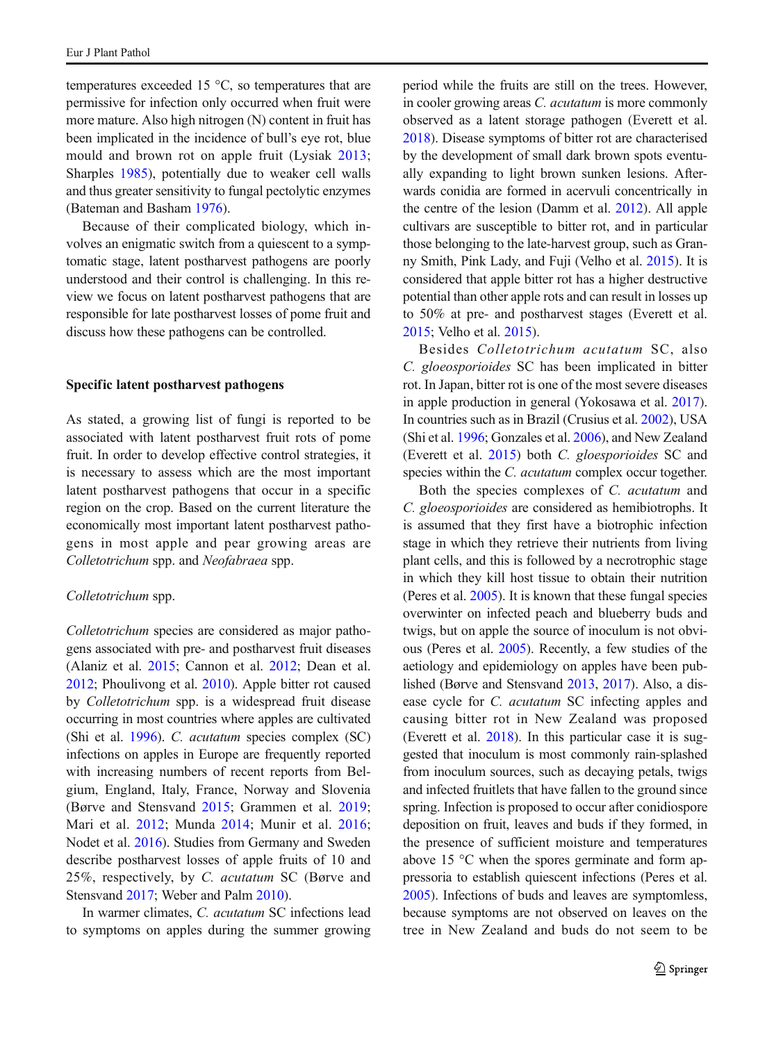temperatures exceeded 15 °C, so temperatures that are permissive for infection only occurred when fruit were more mature. Also high nitrogen (N) content in fruit has been implicated in the incidence of bull's eye rot, blue mould and brown rot on apple fruit (Lysiak [2013](#page-15-0); Sharples [1985\)](#page-16-0), potentially due to weaker cell walls and thus greater sensitivity to fungal pectolytic enzymes (Bateman and Basham [1976](#page-11-0)).

Because of their complicated biology, which involves an enigmatic switch from a quiescent to a symptomatic stage, latent postharvest pathogens are poorly understood and their control is challenging. In this review we focus on latent postharvest pathogens that are responsible for late postharvest losses of pome fruit and discuss how these pathogens can be controlled.

### Specific latent postharvest pathogens

As stated, a growing list of fungi is reported to be associated with latent postharvest fruit rots of pome fruit. In order to develop effective control strategies, it is necessary to assess which are the most important latent postharvest pathogens that occur in a specific region on the crop. Based on the current literature the economically most important latent postharvest pathogens in most apple and pear growing areas are Colletotrichum spp. and Neofabraea spp.

#### Colletotrichum spp.

Colletotrichum species are considered as major pathogens associated with pre- and postharvest fruit diseases (Alaniz et al. [2015](#page-11-0); Cannon et al. [2012](#page-12-0); Dean et al. [2012](#page-12-0); Phoulivong et al. [2010\)](#page-16-0). Apple bitter rot caused by Colletotrichum spp. is a widespread fruit disease occurring in most countries where apples are cultivated (Shi et al. [1996](#page-16-0)). C. acutatum species complex (SC) infections on apples in Europe are frequently reported with increasing numbers of recent reports from Belgium, England, Italy, France, Norway and Slovenia (Børve and Stensvand [2015;](#page-12-0) Grammen et al. [2019](#page-13-0); Mari et al. [2012;](#page-15-0) Munda [2014;](#page-15-0) Munir et al. [2016](#page-15-0); Nodet et al. [2016\)](#page-15-0). Studies from Germany and Sweden describe postharvest losses of apple fruits of 10 and 25%, respectively, by C. acutatum SC (Børve and Stensvand [2017;](#page-12-0) Weber and Palm [2010\)](#page-17-0).

In warmer climates, C. acutatum SC infections lead to symptoms on apples during the summer growing period while the fruits are still on the trees. However, in cooler growing areas C. acutatum is more commonly observed as a latent storage pathogen (Everett et al. [2018](#page-13-0)). Disease symptoms of bitter rot are characterised by the development of small dark brown spots eventually expanding to light brown sunken lesions. Afterwards conidia are formed in acervuli concentrically in the centre of the lesion (Damm et al. [2012\)](#page-12-0). All apple cultivars are susceptible to bitter rot, and in particular those belonging to the late-harvest group, such as Granny Smith, Pink Lady, and Fuji (Velho et al. [2015\)](#page-17-0). It is considered that apple bitter rot has a higher destructive potential than other apple rots and can result in losses up to 50% at pre- and postharvest stages (Everett et al. [2015](#page-13-0); Velho et al. [2015](#page-17-0)).

Besides Colletotrichum acutatum SC, also C. gloeosporioides SC has been implicated in bitter rot. In Japan, bitter rot is one of the most severe diseases in apple production in general (Yokosawa et al. [2017\)](#page-18-0). In countries such as in Brazil (Crusius et al. [2002\)](#page-12-0), USA (Shi et al. [1996;](#page-16-0) Gonzales et al. [2006](#page-13-0)), and New Zealand (Everett et al. [2015](#page-13-0)) both C. gloesporioides SC and species within the *C. acutatum* complex occur together.

Both the species complexes of C. acutatum and C. gloeosporioides are considered as hemibiotrophs. It is assumed that they first have a biotrophic infection stage in which they retrieve their nutrients from living plant cells, and this is followed by a necrotrophic stage in which they kill host tissue to obtain their nutrition (Peres et al. [2005\)](#page-16-0). It is known that these fungal species overwinter on infected peach and blueberry buds and twigs, but on apple the source of inoculum is not obvious (Peres et al. [2005](#page-16-0)). Recently, a few studies of the aetiology and epidemiology on apples have been published (Børve and Stensvand [2013,](#page-11-0) [2017\)](#page-12-0). Also, a disease cycle for C. acutatum SC infecting apples and causing bitter rot in New Zealand was proposed (Everett et al. [2018](#page-13-0)). In this particular case it is suggested that inoculum is most commonly rain-splashed from inoculum sources, such as decaying petals, twigs and infected fruitlets that have fallen to the ground since spring. Infection is proposed to occur after conidiospore deposition on fruit, leaves and buds if they formed, in the presence of sufficient moisture and temperatures above 15 °C when the spores germinate and form appressoria to establish quiescent infections (Peres et al. [2005](#page-16-0)). Infections of buds and leaves are symptomless, because symptoms are not observed on leaves on the tree in New Zealand and buds do not seem to be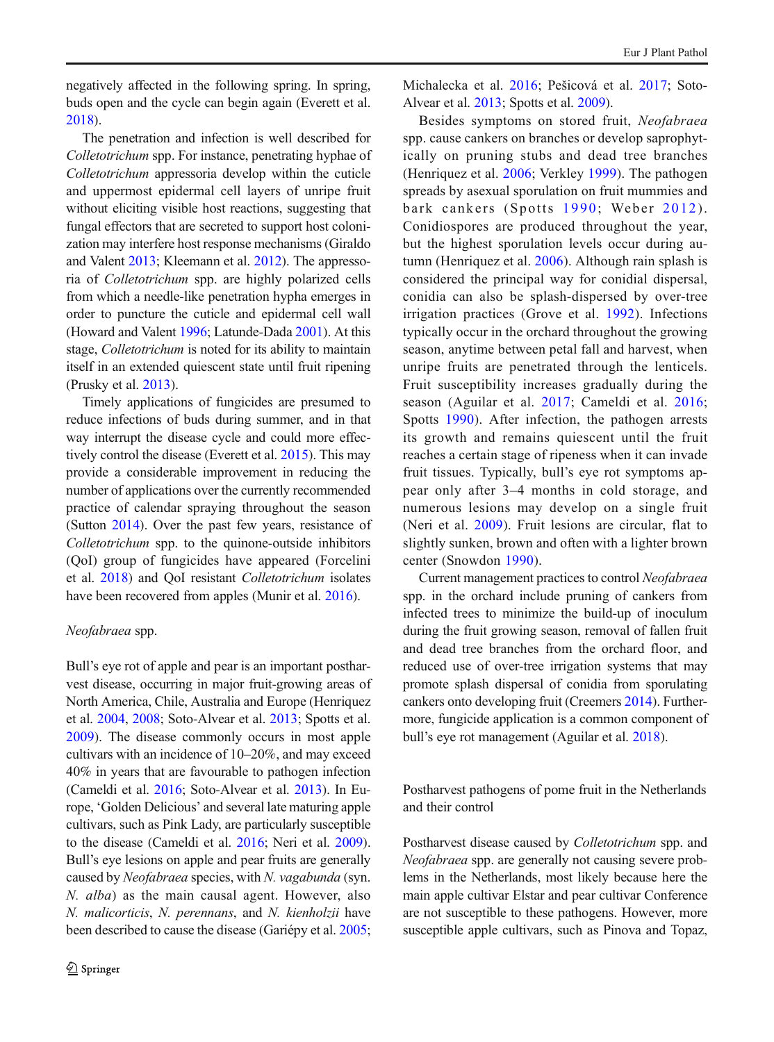negatively affected in the following spring. In spring, buds open and the cycle can begin again (Everett et al. [2018](#page-13-0)).

The penetration and infection is well described for Colletotrichum spp. For instance, penetrating hyphae of Colletotrichum appressoria develop within the cuticle and uppermost epidermal cell layers of unripe fruit without eliciting visible host reactions, suggesting that fungal effectors that are secreted to support host colonization may interfere host response mechanisms (Giraldo and Valent [2013](#page-13-0); Kleemann et al. [2012](#page-14-0)). The appressoria of Colletotrichum spp. are highly polarized cells from which a needle-like penetration hypha emerges in order to puncture the cuticle and epidermal cell wall (Howard and Valent [1996](#page-13-0); Latunde-Dada [2001](#page-14-0)). At this stage, Colletotrichum is noted for its ability to maintain itself in an extended quiescent state until fruit ripening (Prusky et al. [2013\)](#page-16-0).

Timely applications of fungicides are presumed to reduce infections of buds during summer, and in that way interrupt the disease cycle and could more effectively control the disease (Everett et al. [2015](#page-13-0)). This may provide a considerable improvement in reducing the number of applications over the currently recommended practice of calendar spraying throughout the season (Sutton [2014\)](#page-16-0). Over the past few years, resistance of Colletotrichum spp. to the quinone-outside inhibitors (QoI) group of fungicides have appeared (Forcelini et al. [2018\)](#page-13-0) and QoI resistant Colletotrichum isolates have been recovered from apples (Munir et al. [2016](#page-15-0)).

#### Neofabraea spp.

Bull's eye rot of apple and pear is an important postharvest disease, occurring in major fruit-growing areas of North America, Chile, Australia and Europe (Henriquez et al. [2004](#page-13-0), [2008](#page-13-0); Soto-Alvear et al. [2013](#page-16-0); Spotts et al. [2009\)](#page-16-0). The disease commonly occurs in most apple cultivars with an incidence of 10–20%, and may exceed 40% in years that are favourable to pathogen infection (Cameldi et al. [2016;](#page-12-0) Soto-Alvear et al. [2013\)](#page-16-0). In Europe, 'Golden Delicious' and several late maturing apple cultivars, such as Pink Lady, are particularly susceptible to the disease (Cameldi et al. [2016;](#page-12-0) Neri et al. [2009\)](#page-15-0). Bull's eye lesions on apple and pear fruits are generally caused by Neofabraea species, with N. vagabunda (syn. N. alba) as the main causal agent. However, also N. malicorticis, N. perennans, and N. kienholzii have been described to cause the disease (Gariépy et al. [2005](#page-13-0);

Michalecka et al. [2016](#page-15-0); Pešicová et al. [2017;](#page-16-0) Soto-Alvear et al. [2013;](#page-16-0) Spotts et al. [2009](#page-16-0)).

Besides symptoms on stored fruit, Neofabraea spp. cause cankers on branches or develop saprophytically on pruning stubs and dead tree branches (Henriquez et al. [2006;](#page-13-0) Verkley [1999](#page-17-0)). The pathogen spreads by asexual sporulation on fruit mummies and bark cankers (Spotts [1990;](#page-16-0) Weber [2012](#page-17-0)). Conidiospores are produced throughout the year, but the highest sporulation levels occur during autumn (Henriquez et al. [2006](#page-13-0)). Although rain splash is considered the principal way for conidial dispersal, conidia can also be splash-dispersed by over-tree irrigation practices (Grove et al. [1992\)](#page-13-0). Infections typically occur in the orchard throughout the growing season, anytime between petal fall and harvest, when unripe fruits are penetrated through the lenticels. Fruit susceptibility increases gradually during the season (Aguilar et al. [2017;](#page-11-0) Cameldi et al. [2016;](#page-12-0) Spotts [1990](#page-16-0)). After infection, the pathogen arrests its growth and remains quiescent until the fruit reaches a certain stage of ripeness when it can invade fruit tissues. Typically, bull's eye rot symptoms appear only after 3–4 months in cold storage, and numerous lesions may develop on a single fruit (Neri et al. [2009\)](#page-15-0). Fruit lesions are circular, flat to slightly sunken, brown and often with a lighter brown center (Snowdon [1990\)](#page-16-0).

Current management practices to control Neofabraea spp. in the orchard include pruning of cankers from infected trees to minimize the build-up of inoculum during the fruit growing season, removal of fallen fruit and dead tree branches from the orchard floor, and reduced use of over-tree irrigation systems that may promote splash dispersal of conidia from sporulating cankers onto developing fruit (Creemers [2014](#page-12-0)). Furthermore, fungicide application is a common component of bull's eye rot management (Aguilar et al. [2018\)](#page-11-0).

Postharvest pathogens of pome fruit in the Netherlands and their control

Postharvest disease caused by Colletotrichum spp. and Neofabraea spp. are generally not causing severe problems in the Netherlands, most likely because here the main apple cultivar Elstar and pear cultivar Conference are not susceptible to these pathogens. However, more susceptible apple cultivars, such as Pinova and Topaz,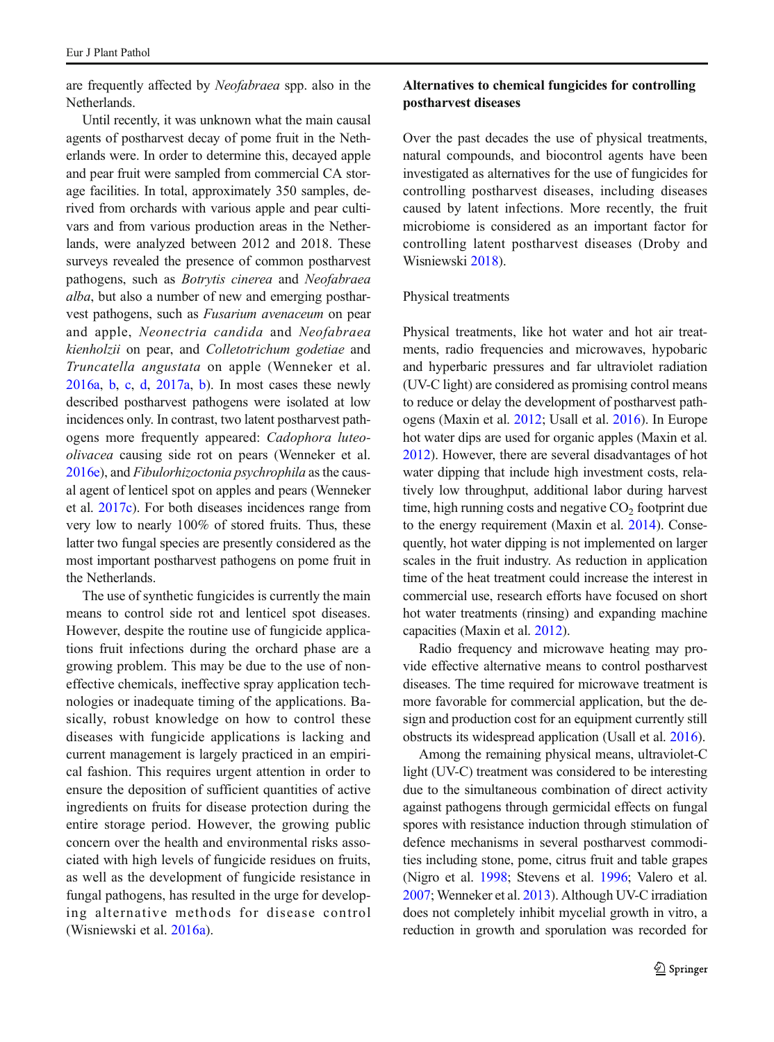are frequently affected by Neofabraea spp. also in the Netherlands.

Until recently, it was unknown what the main causal agents of postharvest decay of pome fruit in the Netherlands were. In order to determine this, decayed apple and pear fruit were sampled from commercial CA storage facilities. In total, approximately 350 samples, derived from orchards with various apple and pear cultivars and from various production areas in the Netherlands, were analyzed between 2012 and 2018. These surveys revealed the presence of common postharvest pathogens, such as Botrytis cinerea and Neofabraea alba, but also a number of new and emerging postharvest pathogens, such as Fusarium avenaceum on pear and apple, Neonectria candida and Neofabraea kienholzii on pear, and Colletotrichum godetiae and Truncatella angustata on apple (Wenneker et al.  $2016a$ , [b,](#page-17-0) [c,](#page-17-0) [d](#page-17-0),  $2017a$ , [b\)](#page-18-0). In most cases these newly described postharvest pathogens were isolated at low incidences only. In contrast, two latent postharvest pathogens more frequently appeared: Cadophora luteoolivacea causing side rot on pears (Wenneker et al. [2016e\)](#page-18-0), and Fibulorhizoctonia psychrophila as the causal agent of lenticel spot on apples and pears (Wenneker et al. [2017c](#page-18-0)). For both diseases incidences range from very low to nearly 100% of stored fruits. Thus, these latter two fungal species are presently considered as the most important postharvest pathogens on pome fruit in the Netherlands.

The use of synthetic fungicides is currently the main means to control side rot and lenticel spot diseases. However, despite the routine use of fungicide applications fruit infections during the orchard phase are a growing problem. This may be due to the use of noneffective chemicals, ineffective spray application technologies or inadequate timing of the applications. Basically, robust knowledge on how to control these diseases with fungicide applications is lacking and current management is largely practiced in an empirical fashion. This requires urgent attention in order to ensure the deposition of sufficient quantities of active ingredients on fruits for disease protection during the entire storage period. However, the growing public concern over the health and environmental risks associated with high levels of fungicide residues on fruits, as well as the development of fungicide resistance in fungal pathogens, has resulted in the urge for developing alternative methods for disease control (Wisniewski et al. [2016a](#page-18-0)).

# Alternatives to chemical fungicides for controlling postharvest diseases

Over the past decades the use of physical treatments, natural compounds, and biocontrol agents have been investigated as alternatives for the use of fungicides for controlling postharvest diseases, including diseases caused by latent infections. More recently, the fruit microbiome is considered as an important factor for controlling latent postharvest diseases (Droby and Wisniewski [2018\)](#page-12-0).

#### Physical treatments

Physical treatments, like hot water and hot air treatments, radio frequencies and microwaves, hypobaric and hyperbaric pressures and far ultraviolet radiation (UV-C light) are considered as promising control means to reduce or delay the development of postharvest pathogens (Maxin et al. [2012](#page-15-0); Usall et al. [2016](#page-17-0)). In Europe hot water dips are used for organic apples (Maxin et al. [2012](#page-15-0)). However, there are several disadvantages of hot water dipping that include high investment costs, relatively low throughput, additional labor during harvest time, high running costs and negative  $CO<sub>2</sub>$  footprint due to the energy requirement (Maxin et al. [2014\)](#page-15-0). Consequently, hot water dipping is not implemented on larger scales in the fruit industry. As reduction in application time of the heat treatment could increase the interest in commercial use, research efforts have focused on short hot water treatments (rinsing) and expanding machine capacities (Maxin et al. [2012\)](#page-15-0).

Radio frequency and microwave heating may provide effective alternative means to control postharvest diseases. The time required for microwave treatment is more favorable for commercial application, but the design and production cost for an equipment currently still obstructs its widespread application (Usall et al. [2016](#page-17-0)).

Among the remaining physical means, ultraviolet-C light (UV-C) treatment was considered to be interesting due to the simultaneous combination of direct activity against pathogens through germicidal effects on fungal spores with resistance induction through stimulation of defence mechanisms in several postharvest commodities including stone, pome, citrus fruit and table grapes (Nigro et al. [1998;](#page-15-0) Stevens et al. [1996;](#page-16-0) Valero et al. [2007](#page-17-0); Wenneker et al. [2013](#page-17-0)). Although UV-C irradiation does not completely inhibit mycelial growth in vitro, a reduction in growth and sporulation was recorded for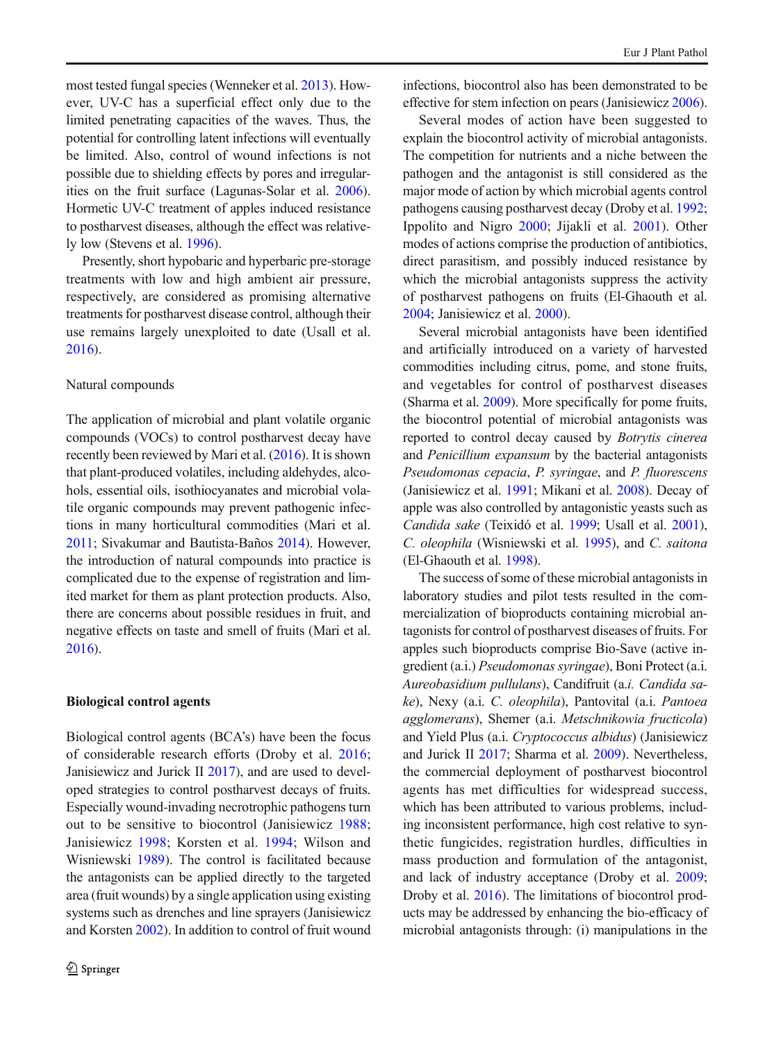most tested fungal species (Wenneker et al. [2013](#page-17-0)). However, UV-C has a superficial effect only due to the limited penetrating capacities of the waves. Thus, the potential for controlling latent infections will eventually be limited. Also, control of wound infections is not possible due to shielding effects by pores and irregularities on the fruit surface (Lagunas-Solar et al. [2006\)](#page-14-0). Hormetic UV-C treatment of apples induced resistance to postharvest diseases, although the effect was relatively low (Stevens et al. [1996](#page-16-0)).

Presently, short hypobaric and hyperbaric pre-storage treatments with low and high ambient air pressure, respectively, are considered as promising alternative treatments for postharvest disease control, although their use remains largely unexploited to date (Usall et al. [2016](#page-17-0)).

## Natural compounds

The application of microbial and plant volatile organic compounds (VOCs) to control postharvest decay have recently been reviewed by Mari et al. [\(2016\)](#page-15-0). It is shown that plant-produced volatiles, including aldehydes, alcohols, essential oils, isothiocyanates and microbial volatile organic compounds may prevent pathogenic infections in many horticultural commodities (Mari et al. [2011](#page-15-0); Sivakumar and Bautista-Baños [2014\)](#page-16-0). However, the introduction of natural compounds into practice is complicated due to the expense of registration and limited market for them as plant protection products. Also, there are concerns about possible residues in fruit, and negative effects on taste and smell of fruits (Mari et al. [2016](#page-15-0)).

## Biological control agents

Biological control agents (BCA's) have been the focus of considerable research efforts (Droby et al. [2016](#page-12-0); Janisiewicz and Jurick II [2017\)](#page-14-0), and are used to developed strategies to control postharvest decays of fruits. Especially wound-invading necrotrophic pathogens turn out to be sensitive to biocontrol (Janisiewicz [1988](#page-13-0); Janisiewicz [1998;](#page-13-0) Korsten et al. [1994](#page-14-0); Wilson and Wisniewski [1989\)](#page-18-0). The control is facilitated because the antagonists can be applied directly to the targeted area (fruit wounds) by a single application using existing systems such as drenches and line sprayers (Janisiewicz and Korsten [2002](#page-14-0)). In addition to control of fruit wound

infections, biocontrol also has been demonstrated to be effective for stem infection on pears (Janisiewicz [2006\)](#page-13-0).

Several modes of action have been suggested to explain the biocontrol activity of microbial antagonists. The competition for nutrients and a niche between the pathogen and the antagonist is still considered as the major mode of action by which microbial agents control pathogens causing postharvest decay (Droby et al. [1992;](#page-12-0) Ippolito and Nigro [2000;](#page-13-0) Jijakli et al. [2001\)](#page-14-0). Other modes of actions comprise the production of antibiotics, direct parasitism, and possibly induced resistance by which the microbial antagonists suppress the activity of postharvest pathogens on fruits (El-Ghaouth et al. [2004](#page-13-0); Janisiewicz et al. [2000\)](#page-14-0).

Several microbial antagonists have been identified and artificially introduced on a variety of harvested commodities including citrus, pome, and stone fruits, and vegetables for control of postharvest diseases (Sharma et al. [2009](#page-16-0)). More specifically for pome fruits, the biocontrol potential of microbial antagonists was reported to control decay caused by Botrytis cinerea and Penicillium expansum by the bacterial antagonists Pseudomonas cepacia, P. syringae, and P. fluorescens (Janisiewicz et al. [1991](#page-14-0); Mikani et al. [2008\)](#page-15-0). Decay of apple was also controlled by antagonistic yeasts such as Candida sake (Teixidó et al. [1999;](#page-16-0) Usall et al. [2001\)](#page-17-0), C. oleophila (Wisniewski et al. [1995](#page-18-0)), and C. saitona (El-Ghaouth et al. [1998\)](#page-13-0).

The success of some of these microbial antagonists in laboratory studies and pilot tests resulted in the commercialization of bioproducts containing microbial antagonists for control of postharvest diseases of fruits. For apples such bioproducts comprise Bio-Save (active ingredient (a.i.) Pseudomonas syringae), Boni Protect (a.i. Aureobasidium pullulans), Candifruit (a.i. Candida sake), Nexy (a.i. C. oleophila), Pantovital (a.i. Pantoea agglomerans), Shemer (a.i. Metschnikowia fructicola) and Yield Plus (a.i. Cryptococcus albidus) (Janisiewicz and Jurick II [2017](#page-14-0); Sharma et al. [2009](#page-16-0)). Nevertheless, the commercial deployment of postharvest biocontrol agents has met difficulties for widespread success, which has been attributed to various problems, including inconsistent performance, high cost relative to synthetic fungicides, registration hurdles, difficulties in mass production and formulation of the antagonist, and lack of industry acceptance (Droby et al. [2009;](#page-12-0) Droby et al. [2016\)](#page-12-0). The limitations of biocontrol products may be addressed by enhancing the bio-efficacy of microbial antagonists through: (i) manipulations in the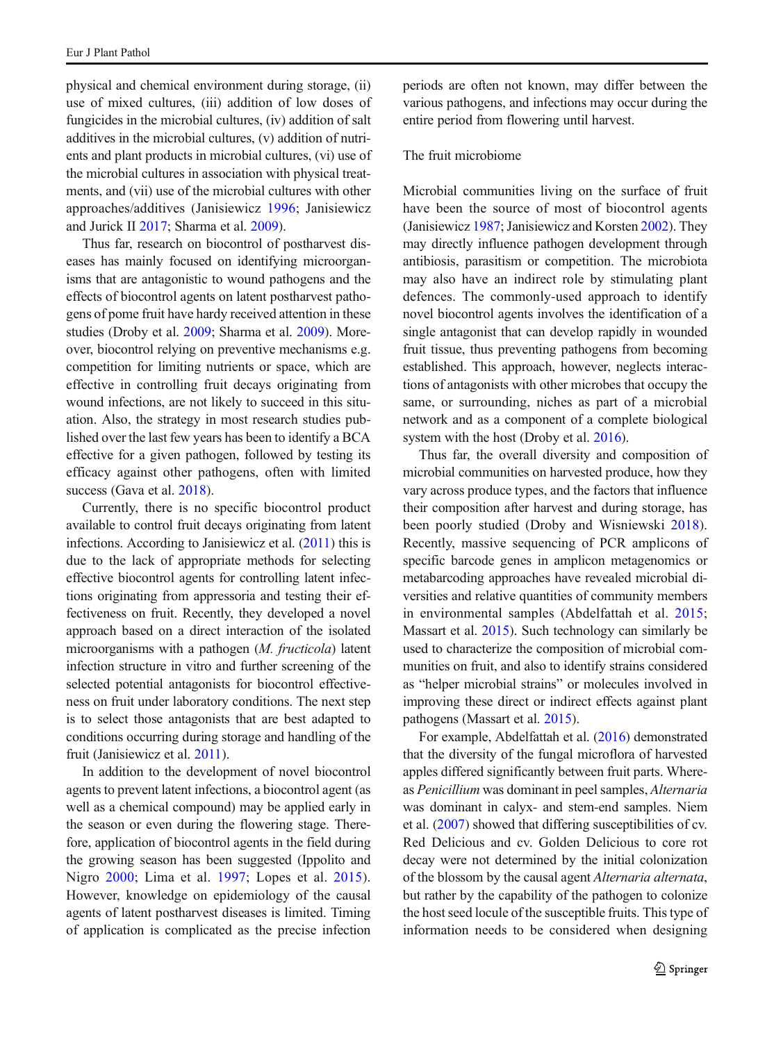physical and chemical environment during storage, (ii) use of mixed cultures, (iii) addition of low doses of fungicides in the microbial cultures, (iv) addition of salt additives in the microbial cultures, (v) addition of nutrients and plant products in microbial cultures, (vi) use of the microbial cultures in association with physical treatments, and (vii) use of the microbial cultures with other approaches/additives (Janisiewicz [1996](#page-13-0); Janisiewicz and Jurick II [2017](#page-14-0); Sharma et al. [2009\)](#page-16-0).

Thus far, research on biocontrol of postharvest diseases has mainly focused on identifying microorganisms that are antagonistic to wound pathogens and the effects of biocontrol agents on latent postharvest pathogens of pome fruit have hardy received attention in these studies (Droby et al. [2009](#page-12-0); Sharma et al. [2009](#page-16-0)). Moreover, biocontrol relying on preventive mechanisms e.g. competition for limiting nutrients or space, which are effective in controlling fruit decays originating from wound infections, are not likely to succeed in this situation. Also, the strategy in most research studies published over the last few years has been to identify a BCA effective for a given pathogen, followed by testing its efficacy against other pathogens, often with limited success (Gava et al. [2018\)](#page-13-0).

Currently, there is no specific biocontrol product available to control fruit decays originating from latent infections. According to Janisiewicz et al. [\(2011\)](#page-14-0) this is due to the lack of appropriate methods for selecting effective biocontrol agents for controlling latent infections originating from appressoria and testing their effectiveness on fruit. Recently, they developed a novel approach based on a direct interaction of the isolated microorganisms with a pathogen (M. fructicola) latent infection structure in vitro and further screening of the selected potential antagonists for biocontrol effectiveness on fruit under laboratory conditions. The next step is to select those antagonists that are best adapted to conditions occurring during storage and handling of the fruit (Janisiewicz et al. [2011\)](#page-14-0).

In addition to the development of novel biocontrol agents to prevent latent infections, a biocontrol agent (as well as a chemical compound) may be applied early in the season or even during the flowering stage. Therefore, application of biocontrol agents in the field during the growing season has been suggested (Ippolito and Nigro [2000](#page-13-0); Lima et al. [1997;](#page-14-0) Lopes et al. [2015](#page-14-0)). However, knowledge on epidemiology of the causal agents of latent postharvest diseases is limited. Timing of application is complicated as the precise infection periods are often not known, may differ between the various pathogens, and infections may occur during the entire period from flowering until harvest.

## The fruit microbiome

Microbial communities living on the surface of fruit have been the source of most of biocontrol agents (Janisiewicz [1987;](#page-13-0) Janisiewicz and Korsten [2002\)](#page-14-0). They may directly influence pathogen development through antibiosis, parasitism or competition. The microbiota may also have an indirect role by stimulating plant defences. The commonly-used approach to identify novel biocontrol agents involves the identification of a single antagonist that can develop rapidly in wounded fruit tissue, thus preventing pathogens from becoming established. This approach, however, neglects interactions of antagonists with other microbes that occupy the same, or surrounding, niches as part of a microbial network and as a component of a complete biological system with the host (Droby et al. [2016](#page-12-0)).

Thus far, the overall diversity and composition of microbial communities on harvested produce, how they vary across produce types, and the factors that influence their composition after harvest and during storage, has been poorly studied (Droby and Wisniewski [2018\)](#page-12-0). Recently, massive sequencing of PCR amplicons of specific barcode genes in amplicon metagenomics or metabarcoding approaches have revealed microbial diversities and relative quantities of community members in environmental samples (Abdelfattah et al. [2015;](#page-11-0) Massart et al. [2015](#page-15-0)). Such technology can similarly be used to characterize the composition of microbial communities on fruit, and also to identify strains considered as "helper microbial strains" or molecules involved in improving these direct or indirect effects against plant pathogens (Massart et al. [2015](#page-15-0)).

For example, Abdelfattah et al. ([2016](#page-11-0)) demonstrated that the diversity of the fungal microflora of harvested apples differed significantly between fruit parts. Whereas Penicillium was dominant in peel samples, Alternaria was dominant in calyx- and stem-end samples. Niem et al. [\(2007\)](#page-15-0) showed that differing susceptibilities of cv. Red Delicious and cv. Golden Delicious to core rot decay were not determined by the initial colonization of the blossom by the causal agent Alternaria alternata, but rather by the capability of the pathogen to colonize the host seed locule of the susceptible fruits. This type of information needs to be considered when designing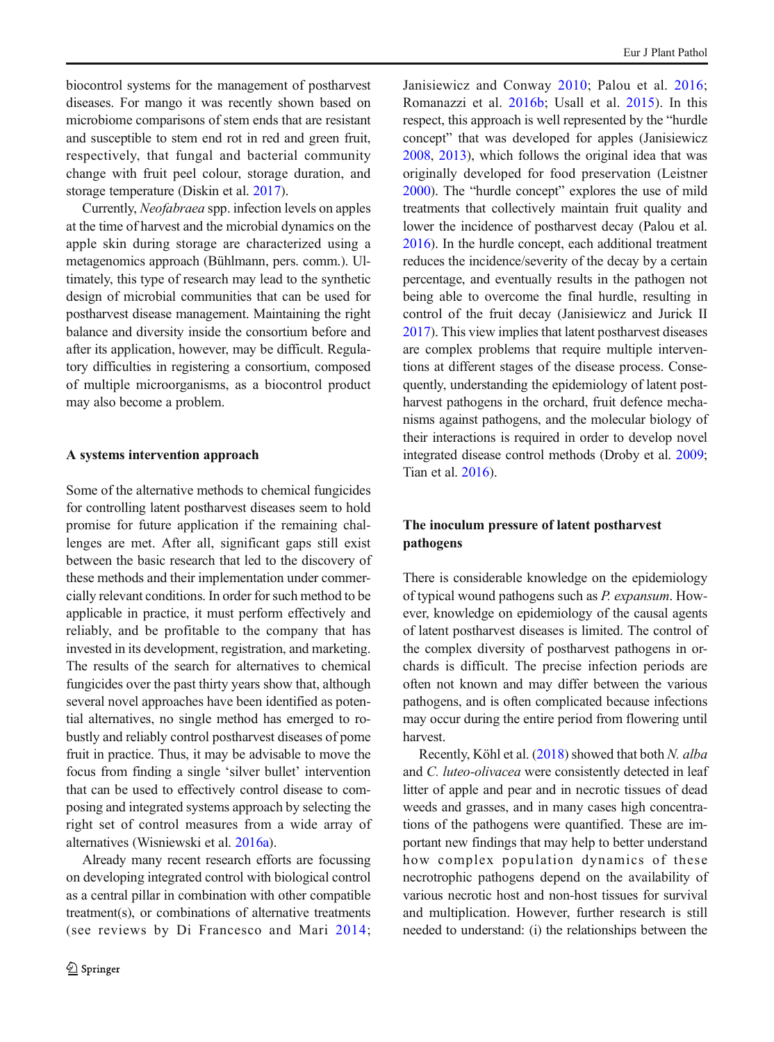biocontrol systems for the management of postharvest diseases. For mango it was recently shown based on microbiome comparisons of stem ends that are resistant and susceptible to stem end rot in red and green fruit, respectively, that fungal and bacterial community change with fruit peel colour, storage duration, and storage temperature (Diskin et al. [2017\)](#page-12-0).

Currently, Neofabraea spp. infection levels on apples at the time of harvest and the microbial dynamics on the apple skin during storage are characterized using a metagenomics approach (Bühlmann, pers. comm.). Ultimately, this type of research may lead to the synthetic design of microbial communities that can be used for postharvest disease management. Maintaining the right balance and diversity inside the consortium before and after its application, however, may be difficult. Regulatory difficulties in registering a consortium, composed of multiple microorganisms, as a biocontrol product may also become a problem.

#### A systems intervention approach

Some of the alternative methods to chemical fungicides for controlling latent postharvest diseases seem to hold promise for future application if the remaining challenges are met. After all, significant gaps still exist between the basic research that led to the discovery of these methods and their implementation under commercially relevant conditions. In order for such method to be applicable in practice, it must perform effectively and reliably, and be profitable to the company that has invested in its development, registration, and marketing. The results of the search for alternatives to chemical fungicides over the past thirty years show that, although several novel approaches have been identified as potential alternatives, no single method has emerged to robustly and reliably control postharvest diseases of pome fruit in practice. Thus, it may be advisable to move the focus from finding a single 'silver bullet' intervention that can be used to effectively control disease to composing and integrated systems approach by selecting the right set of control measures from a wide array of alternatives (Wisniewski et al. [2016a](#page-18-0)).

Already many recent research efforts are focussing on developing integrated control with biological control as a central pillar in combination with other compatible treatment(s), or combinations of alternative treatments (see reviews by Di Francesco and Mari [2014](#page-12-0);

Janisiewicz and Conway [2010](#page-14-0); Palou et al. [2016;](#page-15-0) Romanazzi et al. [2016b;](#page-16-0) Usall et al. [2015](#page-17-0)). In this respect, this approach is well represented by the "hurdle concept" that was developed for apples (Janisiewicz [2008](#page-14-0), [2013\)](#page-14-0), which follows the original idea that was originally developed for food preservation (Leistner [2000](#page-14-0)). The "hurdle concept" explores the use of mild treatments that collectively maintain fruit quality and lower the incidence of postharvest decay (Palou et al. [2016](#page-15-0)). In the hurdle concept, each additional treatment reduces the incidence/severity of the decay by a certain percentage, and eventually results in the pathogen not being able to overcome the final hurdle, resulting in control of the fruit decay (Janisiewicz and Jurick II [2017](#page-14-0)). This view implies that latent postharvest diseases are complex problems that require multiple interventions at different stages of the disease process. Consequently, understanding the epidemiology of latent postharvest pathogens in the orchard, fruit defence mechanisms against pathogens, and the molecular biology of their interactions is required in order to develop novel integrated disease control methods (Droby et al. [2009;](#page-12-0) Tian et al. [2016](#page-17-0)).

# The inoculum pressure of latent postharvest pathogens

There is considerable knowledge on the epidemiology of typical wound pathogens such as P. expansum. However, knowledge on epidemiology of the causal agents of latent postharvest diseases is limited. The control of the complex diversity of postharvest pathogens in orchards is difficult. The precise infection periods are often not known and may differ between the various pathogens, and is often complicated because infections may occur during the entire period from flowering until harvest.

Recently, Köhl et al. [\(2018](#page-14-0)) showed that both N. alba and C. luteo-olivacea were consistently detected in leaf litter of apple and pear and in necrotic tissues of dead weeds and grasses, and in many cases high concentrations of the pathogens were quantified. These are important new findings that may help to better understand how complex population dynamics of these necrotrophic pathogens depend on the availability of various necrotic host and non-host tissues for survival and multiplication. However, further research is still needed to understand: (i) the relationships between the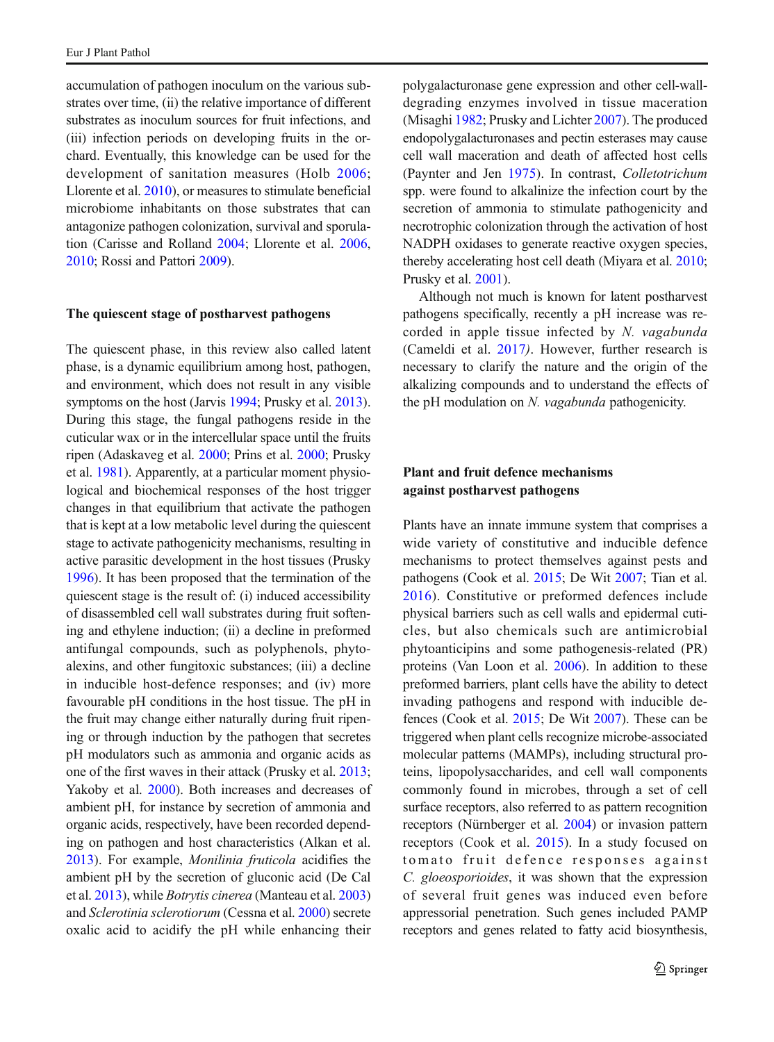accumulation of pathogen inoculum on the various substrates over time, (ii) the relative importance of different substrates as inoculum sources for fruit infections, and (iii) infection periods on developing fruits in the orchard. Eventually, this knowledge can be used for the development of sanitation measures (Holb [2006](#page-13-0); Llorente et al. [2010](#page-14-0)), or measures to stimulate beneficial microbiome inhabitants on those substrates that can antagonize pathogen colonization, survival and sporulation (Carisse and Rolland [2004](#page-12-0); Llorente et al. [2006,](#page-14-0) [2010](#page-14-0); Rossi and Pattori [2009](#page-16-0)).

#### The quiescent stage of postharvest pathogens

The quiescent phase, in this review also called latent phase, is a dynamic equilibrium among host, pathogen, and environment, which does not result in any visible symptoms on the host (Jarvis [1994;](#page-14-0) Prusky et al. [2013\)](#page-16-0). During this stage, the fungal pathogens reside in the cuticular wax or in the intercellular space until the fruits ripen (Adaskaveg et al. [2000](#page-11-0); Prins et al. [2000;](#page-16-0) Prusky et al. [1981\)](#page-16-0). Apparently, at a particular moment physiological and biochemical responses of the host trigger changes in that equilibrium that activate the pathogen that is kept at a low metabolic level during the quiescent stage to activate pathogenicity mechanisms, resulting in active parasitic development in the host tissues (Prusky [1996](#page-16-0)). It has been proposed that the termination of the quiescent stage is the result of: (i) induced accessibility of disassembled cell wall substrates during fruit softening and ethylene induction; (ii) a decline in preformed antifungal compounds, such as polyphenols, phytoalexins, and other fungitoxic substances; (iii) a decline in inducible host-defence responses; and (iv) more favourable pH conditions in the host tissue. The pH in the fruit may change either naturally during fruit ripening or through induction by the pathogen that secretes pH modulators such as ammonia and organic acids as one of the first waves in their attack (Prusky et al. [2013](#page-16-0); Yakoby et al. [2000](#page-18-0)). Both increases and decreases of ambient pH, for instance by secretion of ammonia and organic acids, respectively, have been recorded depending on pathogen and host characteristics (Alkan et al. [2013](#page-11-0)). For example, Monilinia fruticola acidifies the ambient pH by the secretion of gluconic acid (De Cal et al. [2013](#page-12-0)), while Botrytis cinerea (Manteau et al. [2003\)](#page-15-0) and Sclerotinia sclerotiorum (Cessna et al. [2000](#page-12-0)) secrete oxalic acid to acidify the pH while enhancing their

polygalacturonase gene expression and other cell-walldegrading enzymes involved in tissue maceration (Misaghi [1982](#page-15-0); Prusky and Lichter [2007\)](#page-16-0). The produced endopolygalacturonases and pectin esterases may cause cell wall maceration and death of affected host cells (Paynter and Jen [1975](#page-15-0)). In contrast, Colletotrichum spp. were found to alkalinize the infection court by the secretion of ammonia to stimulate pathogenicity and necrotrophic colonization through the activation of host NADPH oxidases to generate reactive oxygen species, thereby accelerating host cell death (Miyara et al. [2010;](#page-15-0) Prusky et al. [2001\)](#page-16-0).

Although not much is known for latent postharvest pathogens specifically, recently a pH increase was recorded in apple tissue infected by N. vagabunda (Cameldi et al. [2017](#page-12-0)). However, further research is necessary to clarify the nature and the origin of the alkalizing compounds and to understand the effects of the pH modulation on N. vagabunda pathogenicity.

# Plant and fruit defence mechanisms against postharvest pathogens

Plants have an innate immune system that comprises a wide variety of constitutive and inducible defence mechanisms to protect themselves against pests and pathogens (Cook et al. [2015](#page-12-0); De Wit [2007](#page-12-0); Tian et al. [2016](#page-17-0)). Constitutive or preformed defences include physical barriers such as cell walls and epidermal cuticles, but also chemicals such are antimicrobial phytoanticipins and some pathogenesis-related (PR) proteins (Van Loon et al. [2006](#page-17-0)). In addition to these preformed barriers, plant cells have the ability to detect invading pathogens and respond with inducible defences (Cook et al. [2015](#page-12-0); De Wit [2007](#page-12-0)). These can be triggered when plant cells recognize microbe-associated molecular patterns (MAMPs), including structural proteins, lipopolysaccharides, and cell wall components commonly found in microbes, through a set of cell surface receptors, also referred to as pattern recognition receptors (Nürnberger et al. [2004](#page-15-0)) or invasion pattern receptors (Cook et al. [2015\)](#page-12-0). In a study focused on tomato fruit defence responses against C. gloeosporioides, it was shown that the expression of several fruit genes was induced even before appressorial penetration. Such genes included PAMP receptors and genes related to fatty acid biosynthesis,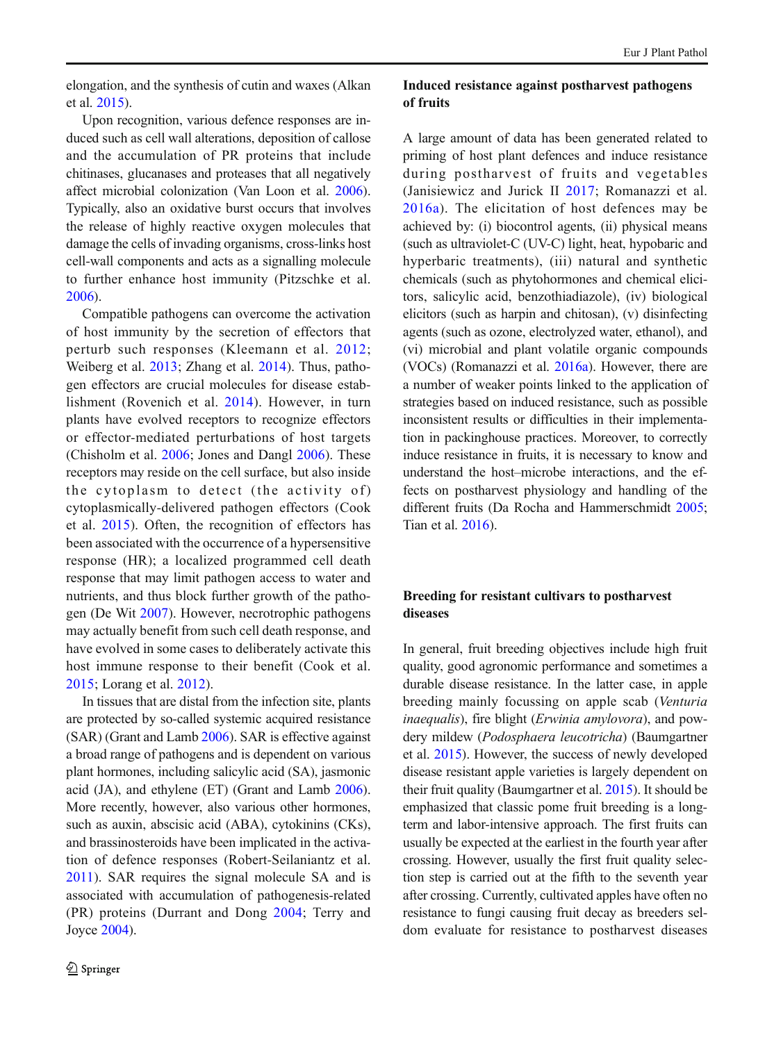elongation, and the synthesis of cutin and waxes (Alkan et al. [2015\)](#page-11-0).

Upon recognition, various defence responses are induced such as cell wall alterations, deposition of callose and the accumulation of PR proteins that include chitinases, glucanases and proteases that all negatively affect microbial colonization (Van Loon et al. [2006\)](#page-17-0). Typically, also an oxidative burst occurs that involves the release of highly reactive oxygen molecules that damage the cells of invading organisms, cross-links host cell-wall components and acts as a signalling molecule to further enhance host immunity (Pitzschke et al. [2006](#page-16-0)).

Compatible pathogens can overcome the activation of host immunity by the secretion of effectors that perturb such responses (Kleemann et al. [2012](#page-14-0); Weiberg et al. [2013;](#page-17-0) Zhang et al. [2014\)](#page-18-0). Thus, pathogen effectors are crucial molecules for disease establishment (Rovenich et al. [2014](#page-16-0)). However, in turn plants have evolved receptors to recognize effectors or effector-mediated perturbations of host targets (Chisholm et al. [2006](#page-12-0); Jones and Dangl [2006\)](#page-14-0). These receptors may reside on the cell surface, but also inside the cytoplasm to detect (the activity of) cytoplasmically-delivered pathogen effectors (Cook et al. [2015](#page-12-0)). Often, the recognition of effectors has been associated with the occurrence of a hypersensitive response (HR); a localized programmed cell death response that may limit pathogen access to water and nutrients, and thus block further growth of the pathogen (De Wit [2007](#page-12-0)). However, necrotrophic pathogens may actually benefit from such cell death response, and have evolved in some cases to deliberately activate this host immune response to their benefit (Cook et al. [2015;](#page-12-0) Lorang et al. [2012](#page-15-0)).

In tissues that are distal from the infection site, plants are protected by so-called systemic acquired resistance (SAR) (Grant and Lamb [2006](#page-13-0)). SAR is effective against a broad range of pathogens and is dependent on various plant hormones, including salicylic acid (SA), jasmonic acid (JA), and ethylene (ET) (Grant and Lamb [2006\)](#page-13-0). More recently, however, also various other hormones, such as auxin, abscisic acid (ABA), cytokinins (CKs), and brassinosteroids have been implicated in the activation of defence responses (Robert-Seilaniantz et al. [2011](#page-16-0)). SAR requires the signal molecule SA and is associated with accumulation of pathogenesis-related (PR) proteins (Durrant and Dong [2004;](#page-12-0) Terry and Joyce [2004](#page-16-0)).

# Induced resistance against postharvest pathogens of fruits

A large amount of data has been generated related to priming of host plant defences and induce resistance during postharvest of fruits and vegetables (Janisiewicz and Jurick II [2017;](#page-14-0) Romanazzi et al. [2016a\)](#page-16-0). The elicitation of host defences may be achieved by: (i) biocontrol agents, (ii) physical means (such as ultraviolet-C (UV-C) light, heat, hypobaric and hyperbaric treatments), (iii) natural and synthetic chemicals (such as phytohormones and chemical elicitors, salicylic acid, benzothiadiazole), (iv) biological elicitors (such as harpin and chitosan), (v) disinfecting agents (such as ozone, electrolyzed water, ethanol), and (vi) microbial and plant volatile organic compounds (VOCs) (Romanazzi et al. [2016a\)](#page-16-0). However, there are a number of weaker points linked to the application of strategies based on induced resistance, such as possible inconsistent results or difficulties in their implementation in packinghouse practices. Moreover, to correctly induce resistance in fruits, it is necessary to know and understand the host–microbe interactions, and the effects on postharvest physiology and handling of the different fruits (Da Rocha and Hammerschmidt [2005;](#page-12-0) Tian et al. [2016](#page-17-0)).

# Breeding for resistant cultivars to postharvest diseases

In general, fruit breeding objectives include high fruit quality, good agronomic performance and sometimes a durable disease resistance. In the latter case, in apple breeding mainly focussing on apple scab (Venturia inaequalis), fire blight (Erwinia amylovora), and powdery mildew (Podosphaera leucotricha) (Baumgartner et al. [2015\)](#page-11-0). However, the success of newly developed disease resistant apple varieties is largely dependent on their fruit quality (Baumgartner et al. [2015\)](#page-11-0). It should be emphasized that classic pome fruit breeding is a longterm and labor-intensive approach. The first fruits can usually be expected at the earliest in the fourth year after crossing. However, usually the first fruit quality selection step is carried out at the fifth to the seventh year after crossing. Currently, cultivated apples have often no resistance to fungi causing fruit decay as breeders seldom evaluate for resistance to postharvest diseases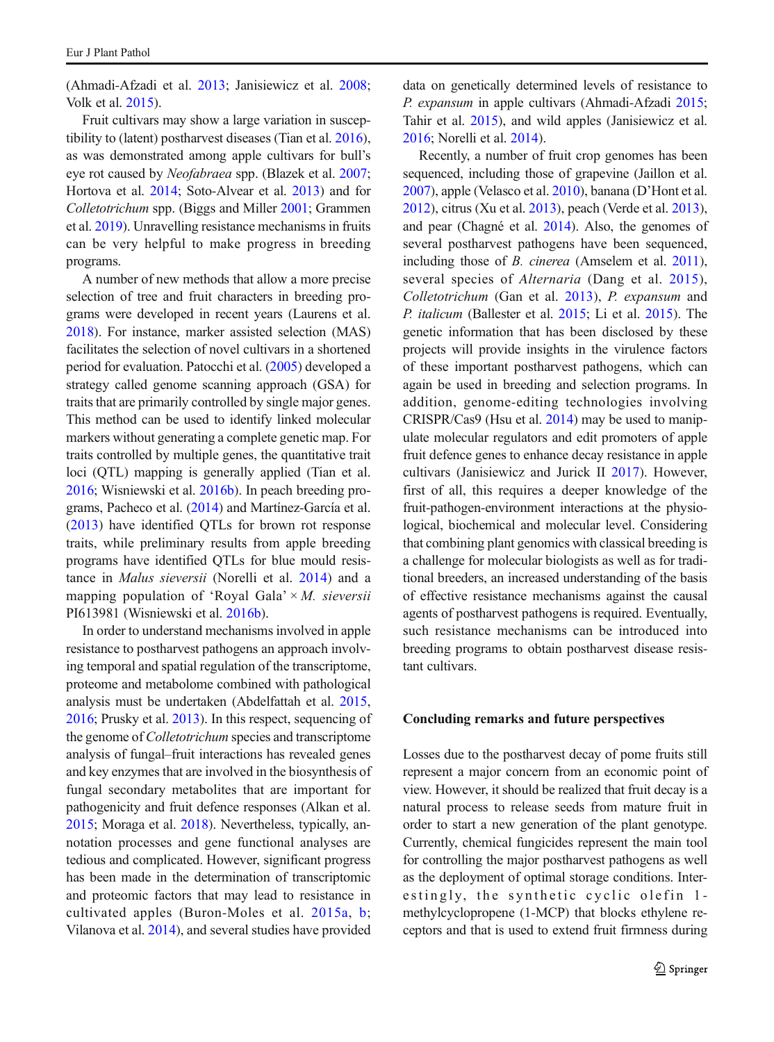(Ahmadi-Afzadi et al. [2013](#page-11-0); Janisiewicz et al. [2008](#page-14-0); Volk et al. [2015\)](#page-17-0).

Fruit cultivars may show a large variation in susceptibility to (latent) postharvest diseases (Tian et al. [2016\)](#page-17-0), as was demonstrated among apple cultivars for bull's eye rot caused by Neofabraea spp. (Blazek et al. [2007](#page-11-0); Hortova et al. [2014;](#page-13-0) Soto-Alvear et al. [2013](#page-16-0)) and for Colletotrichum spp. (Biggs and Miller [2001;](#page-11-0) Grammen et al. [2019\)](#page-13-0). Unravelling resistance mechanisms in fruits can be very helpful to make progress in breeding programs.

A number of new methods that allow a more precise selection of tree and fruit characters in breeding programs were developed in recent years (Laurens et al. [2018](#page-14-0)). For instance, marker assisted selection (MAS) facilitates the selection of novel cultivars in a shortened period for evaluation. Patocchi et al. ([2005](#page-15-0)) developed a strategy called genome scanning approach (GSA) for traits that are primarily controlled by single major genes. This method can be used to identify linked molecular markers without generating a complete genetic map. For traits controlled by multiple genes, the quantitative trait loci (QTL) mapping is generally applied (Tian et al. [2016](#page-17-0); Wisniewski et al. [2016b\)](#page-18-0). In peach breeding programs, Pacheco et al. [\(2014\)](#page-15-0) and Martínez-García et al. ([2013\)](#page-15-0) have identified QTLs for brown rot response traits, while preliminary results from apple breeding programs have identified QTLs for blue mould resistance in Malus sieversii (Norelli et al. [2014\)](#page-15-0) and a mapping population of 'Royal Gala'  $\times M$ . sieversii PI613981 (Wisniewski et al. [2016b\)](#page-18-0).

In order to understand mechanisms involved in apple resistance to postharvest pathogens an approach involving temporal and spatial regulation of the transcriptome, proteome and metabolome combined with pathological analysis must be undertaken (Abdelfattah et al. [2015,](#page-11-0) [2016](#page-11-0); Prusky et al. [2013](#page-16-0)). In this respect, sequencing of the genome of Colletotrichum species and transcriptome analysis of fungal–fruit interactions has revealed genes and key enzymes that are involved in the biosynthesis of fungal secondary metabolites that are important for pathogenicity and fruit defence responses (Alkan et al. [2015](#page-11-0); Moraga et al. [2018](#page-15-0)). Nevertheless, typically, annotation processes and gene functional analyses are tedious and complicated. However, significant progress has been made in the determination of transcriptomic and proteomic factors that may lead to resistance in cultivated apples (Buron-Moles et al. [2015a,](#page-12-0) [b](#page-12-0); Vilanova et al. [2014](#page-17-0)), and several studies have provided

data on genetically determined levels of resistance to P. expansum in apple cultivars (Ahmadi-Afzadi [2015;](#page-11-0) Tahir et al. [2015](#page-16-0)), and wild apples (Janisiewicz et al. [2016](#page-14-0); Norelli et al. [2014\)](#page-15-0).

Recently, a number of fruit crop genomes has been sequenced, including those of grapevine (Jaillon et al. [2007](#page-13-0)), apple (Velasco et al. [2010](#page-17-0)), banana (D'Hont et al. [2012](#page-12-0)), citrus (Xu et al. [2013\)](#page-18-0), peach (Verde et al. [2013\)](#page-17-0), and pear (Chagné et al. [2014\)](#page-12-0). Also, the genomes of several postharvest pathogens have been sequenced, including those of B. cinerea (Amselem et al. [2011\)](#page-11-0), several species of *Alternaria* (Dang et al. [2015](#page-12-0)), Colletotrichum (Gan et al. [2013\)](#page-13-0), P. expansum and P. italicum (Ballester et al. [2015;](#page-11-0) Li et al. [2015\)](#page-14-0). The genetic information that has been disclosed by these projects will provide insights in the virulence factors of these important postharvest pathogens, which can again be used in breeding and selection programs. In addition, genome-editing technologies involving CRISPR/Cas9 (Hsu et al. [2014\)](#page-13-0) may be used to manipulate molecular regulators and edit promoters of apple fruit defence genes to enhance decay resistance in apple cultivars (Janisiewicz and Jurick II [2017](#page-14-0)). However, first of all, this requires a deeper knowledge of the fruit-pathogen-environment interactions at the physiological, biochemical and molecular level. Considering that combining plant genomics with classical breeding is a challenge for molecular biologists as well as for traditional breeders, an increased understanding of the basis of effective resistance mechanisms against the causal agents of postharvest pathogens is required. Eventually, such resistance mechanisms can be introduced into breeding programs to obtain postharvest disease resistant cultivars.

#### Concluding remarks and future perspectives

Losses due to the postharvest decay of pome fruits still represent a major concern from an economic point of view. However, it should be realized that fruit decay is a natural process to release seeds from mature fruit in order to start a new generation of the plant genotype. Currently, chemical fungicides represent the main tool for controlling the major postharvest pathogens as well as the deployment of optimal storage conditions. Interestingly, the synthetic cyclic olefin 1 methylcyclopropene (1-MCP) that blocks ethylene receptors and that is used to extend fruit firmness during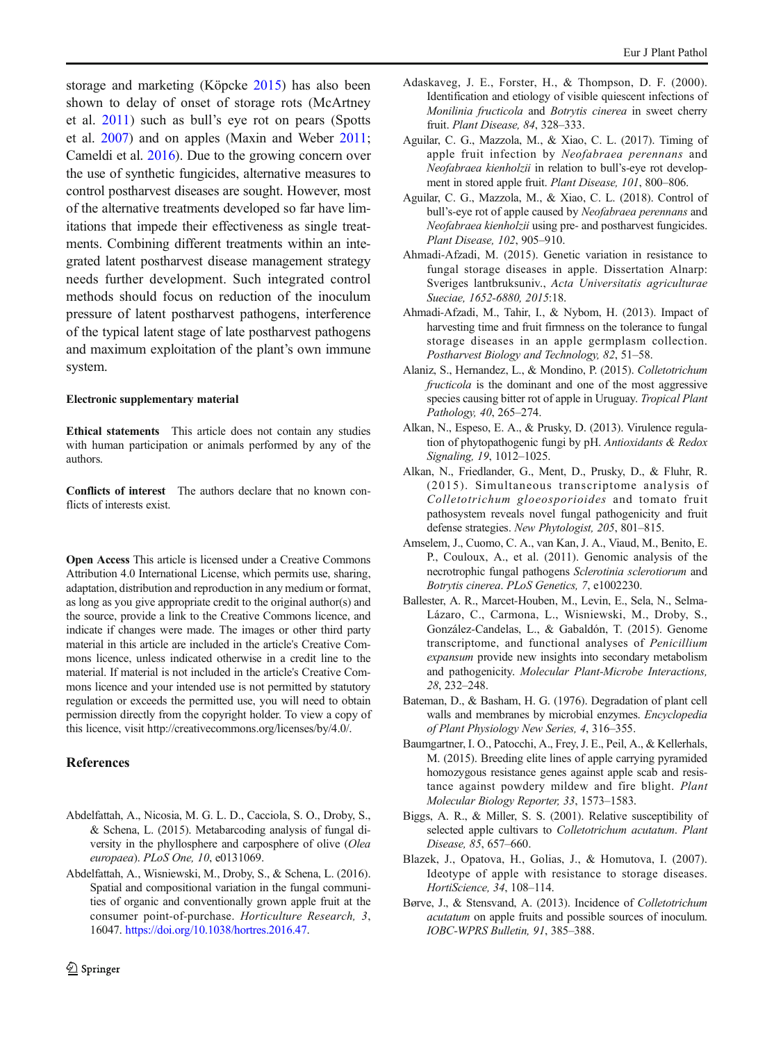<span id="page-11-0"></span>storage and marketing (Köpcke [2015](#page-14-0)) has also been shown to delay of onset of storage rots (McArtney et al. [2011\)](#page-15-0) such as bull's eye rot on pears (Spotts et al. [2007](#page-16-0)) and on apples (Maxin and Weber [2011](#page-15-0); Cameldi et al. [2016\)](#page-12-0). Due to the growing concern over the use of synthetic fungicides, alternative measures to control postharvest diseases are sought. However, most of the alternative treatments developed so far have limitations that impede their effectiveness as single treatments. Combining different treatments within an integrated latent postharvest disease management strategy needs further development. Such integrated control methods should focus on reduction of the inoculum pressure of latent postharvest pathogens, interference of the typical latent stage of late postharvest pathogens and maximum exploitation of the plant's own immune system.

#### Electronic supplementary material

Ethical statements This article does not contain any studies with human participation or animals performed by any of the authors.

Conflicts of interest The authors declare that no known conflicts of interests exist.

Open Access This article is licensed under a Creative Commons Attribution 4.0 International License, which permits use, sharing, adaptation, distribution and reproduction in any medium or format, as long as you give appropriate credit to the original author(s) and the source, provide a link to the Creative Commons licence, and indicate if changes were made. The images or other third party material in this article are included in the article's Creative Commons licence, unless indicated otherwise in a credit line to the material. If material is not included in the article's Creative Commons licence and your intended use is not permitted by statutory regulation or exceeds the permitted use, you will need to obtain permission directly from the copyright holder. To view a copy of this licence, visit http://creativecommons.org/licenses/by/4.0/.

#### References

- Abdelfattah, A., Nicosia, M. G. L. D., Cacciola, S. O., Droby, S., & Schena, L. (2015). Metabarcoding analysis of fungal diversity in the phyllosphere and carposphere of olive (Olea europaea). PLoS One, 10, e0131069.
- Abdelfattah, A., Wisniewski, M., Droby, S., & Schena, L. (2016). Spatial and compositional variation in the fungal communities of organic and conventionally grown apple fruit at the consumer point-of-purchase. Horticulture Research, 3, 16047. [https://doi.org/10.1038/hortres.2016.47.](https://doi.org/10.1038/hortres.2016.47)
- Adaskaveg, J. E., Forster, H., & Thompson, D. F. (2000). Identification and etiology of visible quiescent infections of Monilinia fructicola and Botrytis cinerea in sweet cherry fruit. Plant Disease, 84, 328–333.
- Aguilar, C. G., Mazzola, M., & Xiao, C. L. (2017). Timing of apple fruit infection by Neofabraea perennans and Neofabraea kienholzii in relation to bull's-eye rot development in stored apple fruit. Plant Disease, 101, 800–806.
- Aguilar, C. G., Mazzola, M., & Xiao, C. L. (2018). Control of bull's-eye rot of apple caused by Neofabraea perennans and Neofabraea kienholzii using pre- and postharvest fungicides. Plant Disease, 102, 905–910.
- Ahmadi-Afzadi, M. (2015). Genetic variation in resistance to fungal storage diseases in apple. Dissertation Alnarp: Sveriges lantbruksuniv., Acta Universitatis agriculturae Sueciae, 1652-6880, 2015:18.
- Ahmadi-Afzadi, M., Tahir, I., & Nybom, H. (2013). Impact of harvesting time and fruit firmness on the tolerance to fungal storage diseases in an apple germplasm collection. Postharvest Biology and Technology, 82, 51–58.
- Alaniz, S., Hernandez, L., & Mondino, P. (2015). Colletotrichum fructicola is the dominant and one of the most aggressive species causing bitter rot of apple in Uruguay. Tropical Plant Pathology, 40, 265–274.
- Alkan, N., Espeso, E. A., & Prusky, D. (2013). Virulence regulation of phytopathogenic fungi by pH. Antioxidants & Redox Signaling, 19, 1012–1025.
- Alkan, N., Friedlander, G., Ment, D., Prusky, D., & Fluhr, R. (2015). Simultaneous transcriptome analysis of Colletotrichum gloeosporioides and tomato fruit pathosystem reveals novel fungal pathogenicity and fruit defense strategies. New Phytologist, 205, 801–815.
- Amselem, J., Cuomo, C. A., van Kan, J. A., Viaud, M., Benito, E. P., Couloux, A., et al. (2011). Genomic analysis of the necrotrophic fungal pathogens Sclerotinia sclerotiorum and Botrytis cinerea. PLoS Genetics, 7, e1002230.
- Ballester, A. R., Marcet-Houben, M., Levin, E., Sela, N., Selma-Lázaro, C., Carmona, L., Wisniewski, M., Droby, S., González-Candelas, L., & Gabaldón, T. (2015). Genome transcriptome, and functional analyses of Penicillium expansum provide new insights into secondary metabolism and pathogenicity. Molecular Plant-Microbe Interactions, 28, 232–248.
- Bateman, D., & Basham, H. G. (1976). Degradation of plant cell walls and membranes by microbial enzymes. Encyclopedia of Plant Physiology New Series, 4, 316–355.
- Baumgartner, I. O., Patocchi, A., Frey, J. E., Peil, A., & Kellerhals, M. (2015). Breeding elite lines of apple carrying pyramided homozygous resistance genes against apple scab and resistance against powdery mildew and fire blight. Plant Molecular Biology Reporter, 33, 1573–1583.
- Biggs, A. R., & Miller, S. S. (2001). Relative susceptibility of selected apple cultivars to Colletotrichum acutatum. Plant Disease, 85, 657–660.
- Blazek, J., Opatova, H., Golias, J., & Homutova, I. (2007). Ideotype of apple with resistance to storage diseases. HortiScience, 34, 108–114.
- Børve, J., & Stensvand, A. (2013). Incidence of Colletotrichum acutatum on apple fruits and possible sources of inoculum. IOBC-WPRS Bulletin, 91, 385–388.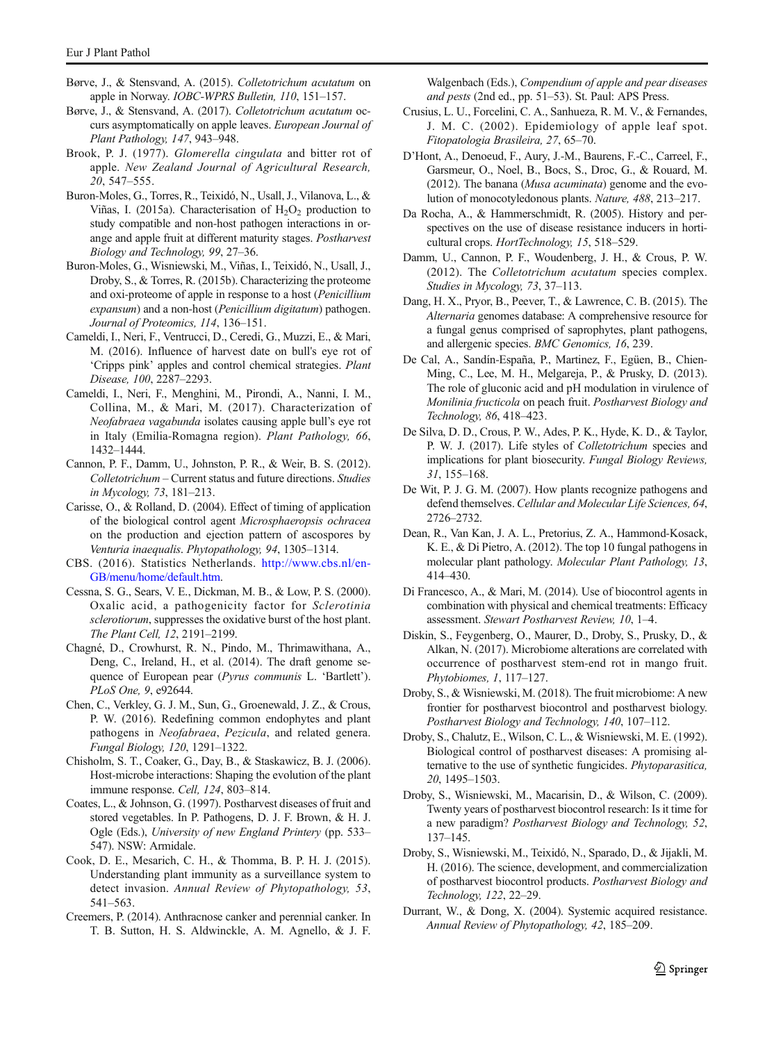- <span id="page-12-0"></span>Børve, J., & Stensvand, A. (2015). Colletotrichum acutatum on apple in Norway. IOBC-WPRS Bulletin, 110, 151–157.
- Børve, J., & Stensvand, A. (2017). Colletotrichum acutatum occurs asymptomatically on apple leaves. European Journal of Plant Pathology, 147, 943–948.
- Brook, P. J. (1977). Glomerella cingulata and bitter rot of apple. New Zealand Journal of Agricultural Research, 20, 547–555.
- Buron-Moles, G., Torres, R., Teixidó, N., Usall, J., Vilanova, L., & Viñas, I. (2015a). Characterisation of  $H_2O_2$  production to study compatible and non-host pathogen interactions in orange and apple fruit at different maturity stages. Postharvest Biology and Technology, 99, 27–36.
- Buron-Moles, G., Wisniewski, M., Viñas, I., Teixidó, N., Usall, J., Droby, S., & Torres, R. (2015b). Characterizing the proteome and oxi-proteome of apple in response to a host (Penicillium expansum) and a non-host (Penicillium digitatum) pathogen. Journal of Proteomics, 114, 136–151.
- Cameldi, I., Neri, F., Ventrucci, D., Ceredi, G., Muzzi, E., & Mari, M. (2016). Influence of harvest date on bull's eye rot of 'Cripps pink' apples and control chemical strategies. Plant Disease, 100, 2287–2293.
- Cameldi, I., Neri, F., Menghini, M., Pirondi, A., Nanni, I. M., Collina, M., & Mari, M. (2017). Characterization of Neofabraea vagabunda isolates causing apple bull's eye rot in Italy (Emilia-Romagna region). Plant Pathology, 66, 1432–1444.
- Cannon, P. F., Damm, U., Johnston, P. R., & Weir, B. S. (2012). Colletotrichum – Current status and future directions. Studies in Mycology, 73, 181–213.
- Carisse, O., & Rolland, D. (2004). Effect of timing of application of the biological control agent Microsphaeropsis ochracea on the production and ejection pattern of ascospores by Venturia inaequalis. Phytopathology, 94, 1305–1314.
- CBS. (2016). Statistics Netherlands. [http://www.cbs.nl/en-](http://www.cbs.nl/en-GB/menu/home/default.htm)[GB/menu/home/default.htm.](http://www.cbs.nl/en-GB/menu/home/default.htm)
- Cessna, S. G., Sears, V. E., Dickman, M. B., & Low, P. S. (2000). Oxalic acid, a pathogenicity factor for Sclerotinia sclerotiorum, suppresses the oxidative burst of the host plant. The Plant Cell, 12, 2191–2199.
- Chagné, D., Crowhurst, R. N., Pindo, M., Thrimawithana, A., Deng, C., Ireland, H., et al. (2014). The draft genome sequence of European pear (Pyrus communis L. 'Bartlett'). PLoS One, 9, e92644.
- Chen, C., Verkley, G. J. M., Sun, G., Groenewald, J. Z., & Crous, P. W. (2016). Redefining common endophytes and plant pathogens in Neofabraea, Pezicula, and related genera. Fungal Biology, 120, 1291–1322.
- Chisholm, S. T., Coaker, G., Day, B., & Staskawicz, B. J. (2006). Host-microbe interactions: Shaping the evolution of the plant immune response. Cell, 124, 803–814.
- Coates, L., & Johnson, G. (1997). Postharvest diseases of fruit and stored vegetables. In P. Pathogens, D. J. F. Brown, & H. J. Ogle (Eds.), University of new England Printery (pp. 533– 547). NSW: Armidale.
- Cook, D. E., Mesarich, C. H., & Thomma, B. P. H. J. (2015). Understanding plant immunity as a surveillance system to detect invasion. Annual Review of Phytopathology, 53, 541–563.
- Creemers, P. (2014). Anthracnose canker and perennial canker. In T. B. Sutton, H. S. Aldwinckle, A. M. Agnello, & J. F.

Walgenbach (Eds.), Compendium of apple and pear diseases and pests (2nd ed., pp. 51–53). St. Paul: APS Press.

- Crusius, L. U., Forcelini, C. A., Sanhueza, R. M. V., & Fernandes, J. M. C. (2002). Epidemiology of apple leaf spot. Fitopatologia Brasileira, 27, 65–70.
- D'Hont, A., Denoeud, F., Aury, J.-M., Baurens, F.-C., Carreel, F., Garsmeur, O., Noel, B., Bocs, S., Droc, G., & Rouard, M. (2012). The banana (Musa acuminata) genome and the evolution of monocotyledonous plants. Nature, 488, 213–217.
- Da Rocha, A., & Hammerschmidt, R. (2005). History and perspectives on the use of disease resistance inducers in horticultural crops. HortTechnology, 15, 518–529.
- Damm, U., Cannon, P. F., Woudenberg, J. H., & Crous, P. W. (2012). The Colletotrichum acutatum species complex. Studies in Mycology, 73, 37–113.
- Dang, H. X., Pryor, B., Peever, T., & Lawrence, C. B. (2015). The Alternaria genomes database: A comprehensive resource for a fungal genus comprised of saprophytes, plant pathogens, and allergenic species. BMC Genomics, 16, 239.
- De Cal, A., Sandín-España, P., Martinez, F., Egüen, B., Chien-Ming, C., Lee, M. H., Melgareja, P., & Prusky, D. (2013). The role of gluconic acid and pH modulation in virulence of Monilinia fructicola on peach fruit. Postharvest Biology and Technology, 86, 418–423.
- De Silva, D. D., Crous, P. W., Ades, P. K., Hyde, K. D., & Taylor, P. W. J. (2017). Life styles of *Colletotrichum* species and implications for plant biosecurity. Fungal Biology Reviews, 31, 155–168.
- De Wit, P. J. G. M. (2007). How plants recognize pathogens and defend themselves. Cellular and Molecular Life Sciences, 64, 2726–2732.
- Dean, R., Van Kan, J. A. L., Pretorius, Z. A., Hammond-Kosack, K. E., & Di Pietro, A. (2012). The top 10 fungal pathogens in molecular plant pathology. Molecular Plant Pathology, 13, 414–430.
- Di Francesco, A., & Mari, M. (2014). Use of biocontrol agents in combination with physical and chemical treatments: Efficacy assessment. Stewart Postharvest Review, 10, 1–4.
- Diskin, S., Feygenberg, O., Maurer, D., Droby, S., Prusky, D., & Alkan, N. (2017). Microbiome alterations are correlated with occurrence of postharvest stem-end rot in mango fruit. Phytobiomes, 1, 117–127.
- Droby, S., & Wisniewski, M. (2018). The fruit microbiome: A new frontier for postharvest biocontrol and postharvest biology. Postharvest Biology and Technology, 140, 107–112.
- Droby, S., Chalutz, E., Wilson, C. L., & Wisniewski, M. E. (1992). Biological control of postharvest diseases: A promising alternative to the use of synthetic fungicides. Phytoparasitica, 20, 1495–1503.
- Droby, S., Wisniewski, M., Macarisin, D., & Wilson, C. (2009). Twenty years of postharvest biocontrol research: Is it time for a new paradigm? Postharvest Biology and Technology, 52, 137–145.
- Droby, S., Wisniewski, M., Teixidó, N., Sparado, D., & Jijakli, M. H. (2016). The science, development, and commercialization of postharvest biocontrol products. Postharvest Biology and Technology, 122, 22–29.
- Durrant, W., & Dong, X. (2004). Systemic acquired resistance. Annual Review of Phytopathology, 42, 185–209.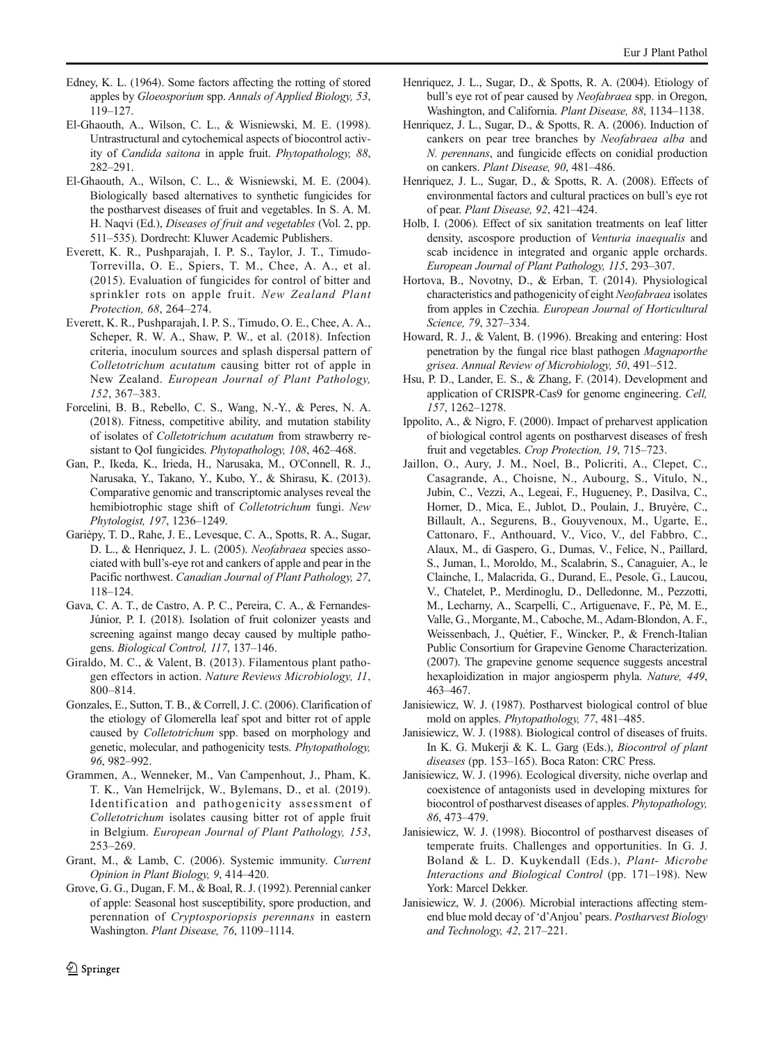- <span id="page-13-0"></span>Edney, K. L. (1964). Some factors affecting the rotting of stored apples by Gloeosporium spp. Annals of Applied Biology, 53, 119–127.
- El-Ghaouth, A., Wilson, C. L., & Wisniewski, M. E. (1998). Untrastructural and cytochemical aspects of biocontrol activity of Candida saitona in apple fruit. Phytopathology, 88, 282–291.
- El-Ghaouth, A., Wilson, C. L., & Wisniewski, M. E. (2004). Biologically based alternatives to synthetic fungicides for the postharvest diseases of fruit and vegetables. In S. A. M. H. Naqvi (Ed.), Diseases of fruit and vegetables (Vol. 2, pp. 511–535). Dordrecht: Kluwer Academic Publishers.
- Everett, K. R., Pushparajah, I. P. S., Taylor, J. T., Timudo-Torrevilla, O. E., Spiers, T. M., Chee, A. A., et al. (2015). Evaluation of fungicides for control of bitter and sprinkler rots on apple fruit. New Zealand Plant Protection, 68, 264–274.
- Everett, K. R., Pushparajah, I. P. S., Timudo, O. E., Chee, A. A., Scheper, R. W. A., Shaw, P. W., et al. (2018). Infection criteria, inoculum sources and splash dispersal pattern of Colletotrichum acutatum causing bitter rot of apple in New Zealand. European Journal of Plant Pathology, 152, 367–383.
- Forcelini, B. B., Rebello, C. S., Wang, N.-Y., & Peres, N. A. (2018). Fitness, competitive ability, and mutation stability of isolates of Colletotrichum acutatum from strawberry resistant to QoI fungicides. *Phytopathology*, 108, 462–468.
- Gan, P., Ikeda, K., Irieda, H., Narusaka, M., O'Connell, R. J., Narusaka, Y., Takano, Y., Kubo, Y., & Shirasu, K. (2013). Comparative genomic and transcriptomic analyses reveal the hemibiotrophic stage shift of Colletotrichum fungi. New Phytologist, 197, 1236–1249.
- Gariépy, T. D., Rahe, J. E., Levesque, C. A., Spotts, R. A., Sugar, D. L., & Henriquez, J. L. (2005). Neofabraea species associated with bull's-eye rot and cankers of apple and pear in the Pacific northwest. Canadian Journal of Plant Pathology, 27, 118–124.
- Gava, C. A. T., de Castro, A. P. C., Pereira, C. A., & Fernandes-Júnior, P. I. (2018). Isolation of fruit colonizer yeasts and screening against mango decay caused by multiple pathogens. Biological Control, 117, 137–146.
- Giraldo, M. C., & Valent, B. (2013). Filamentous plant pathogen effectors in action. Nature Reviews Microbiology, 11, 800–814.
- Gonzales, E., Sutton, T. B., & Correll, J. C. (2006). Clarification of the etiology of Glomerella leaf spot and bitter rot of apple caused by Colletotrichum spp. based on morphology and genetic, molecular, and pathogenicity tests. Phytopathology, 96, 982–992.
- Grammen, A., Wenneker, M., Van Campenhout, J., Pham, K. T. K., Van Hemelrijck, W., Bylemans, D., et al. (2019). Identification and pathogenicity assessment of Colletotrichum isolates causing bitter rot of apple fruit in Belgium. European Journal of Plant Pathology, 153, 253–269.
- Grant, M., & Lamb, C. (2006). Systemic immunity. Current Opinion in Plant Biology, 9, 414–420.
- Grove, G. G., Dugan, F. M., & Boal, R. J. (1992). Perennial canker of apple: Seasonal host susceptibility, spore production, and perennation of Cryptosporiopsis perennans in eastern Washington. Plant Disease, 76, 1109–1114.
- Henriquez, J. L., Sugar, D., & Spotts, R. A. (2004). Etiology of bull's eye rot of pear caused by Neofabraea spp. in Oregon, Washington, and California. Plant Disease, 88, 1134–1138.
- Henriquez, J. L., Sugar, D., & Spotts, R. A. (2006). Induction of cankers on pear tree branches by Neofabraea alba and N. perennans, and fungicide effects on conidial production on cankers. Plant Disease, 90, 481–486.
- Henriquez, J. L., Sugar, D., & Spotts, R. A. (2008). Effects of environmental factors and cultural practices on bull's eye rot of pear. Plant Disease, 92, 421–424.
- Holb, I. (2006). Effect of six sanitation treatments on leaf litter density, ascospore production of Venturia inaequalis and scab incidence in integrated and organic apple orchards. European Journal of Plant Pathology, 115, 293–307.
- Hortova, B., Novotny, D., & Erban, T. (2014). Physiological characteristics and pathogenicity of eight Neofabraea isolates from apples in Czechia. European Journal of Horticultural Science, 79, 327–334.
- Howard, R. J., & Valent, B. (1996). Breaking and entering: Host penetration by the fungal rice blast pathogen Magnaporthe grisea. Annual Review of Microbiology, 50, 491–512.
- Hsu, P. D., Lander, E. S., & Zhang, F. (2014). Development and application of CRISPR-Cas9 for genome engineering. Cell, 157, 1262–1278.
- Ippolito, A., & Nigro, F. (2000). Impact of preharvest application of biological control agents on postharvest diseases of fresh fruit and vegetables. Crop Protection, 19, 715–723.
- Jaillon, O., Aury, J. M., Noel, B., Policriti, A., Clepet, C., Casagrande, A., Choisne, N., Aubourg, S., Vitulo, N., Jubin, C., Vezzi, A., Legeai, F., Hugueney, P., Dasilva, C., Horner, D., Mica, E., Jublot, D., Poulain, J., Bruyère, C., Billault, A., Segurens, B., Gouyvenoux, M., Ugarte, E., Cattonaro, F., Anthouard, V., Vico, V., del Fabbro, C., Alaux, M., di Gaspero, G., Dumas, V., Felice, N., Paillard, S., Juman, I., Moroldo, M., Scalabrin, S., Canaguier, A., le Clainche, I., Malacrida, G., Durand, E., Pesole, G., Laucou, V., Chatelet, P., Merdinoglu, D., Delledonne, M., Pezzotti, M., Lecharny, A., Scarpelli, C., Artiguenave, F., Pè, M. E., Valle, G., Morgante, M., Caboche, M., Adam-Blondon, A. F., Weissenbach, J., Quétier, F., Wincker, P., & French-Italian Public Consortium for Grapevine Genome Characterization. (2007). The grapevine genome sequence suggests ancestral hexaploidization in major angiosperm phyla. Nature, 449, 463–467.
- Janisiewicz, W. J. (1987). Postharvest biological control of blue mold on apples. Phytopathology, 77, 481–485.
- Janisiewicz, W. J. (1988). Biological control of diseases of fruits. In K. G. Mukerji & K. L. Garg (Eds.), Biocontrol of plant diseases (pp. 153–165). Boca Raton: CRC Press.
- Janisiewicz, W. J. (1996). Ecological diversity, niche overlap and coexistence of antagonists used in developing mixtures for biocontrol of postharvest diseases of apples. Phytopathology, 86, 473–479.
- Janisiewicz, W. J. (1998). Biocontrol of postharvest diseases of temperate fruits. Challenges and opportunities. In G. J. Boland & L. D. Kuykendall (Eds.), Plant- Microbe Interactions and Biological Control (pp. 171–198). New York: Marcel Dekker.
- Janisiewicz, W. J. (2006). Microbial interactions affecting stemend blue mold decay of 'd'Anjou' pears. Postharvest Biology and Technology, 42, 217–221.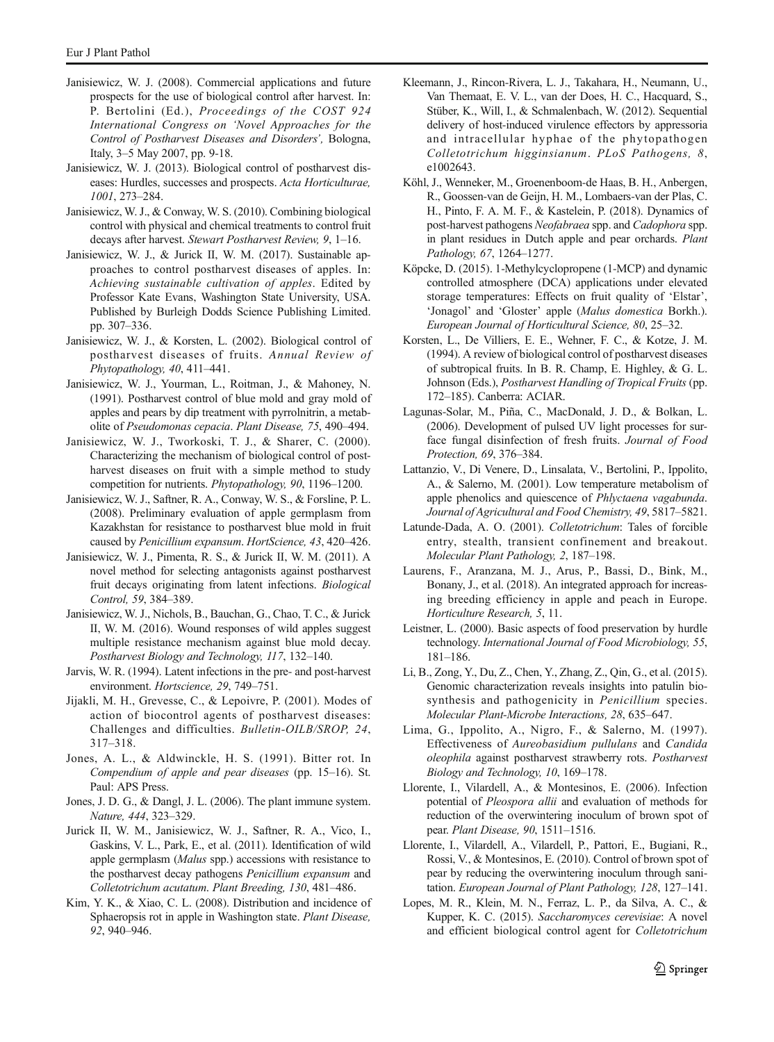- <span id="page-14-0"></span>Janisiewicz, W. J. (2008). Commercial applications and future prospects for the use of biological control after harvest. In: P. Bertolini (Ed.), Proceedings of the COST 924 International Congress on 'Novel Approaches for the Control of Postharvest Diseases and Disorders', Bologna, Italy, 3–5 May 2007, pp. 9-18.
- Janisiewicz, W. J. (2013). Biological control of postharvest diseases: Hurdles, successes and prospects. Acta Horticulturae, 1001, 273–284.
- Janisiewicz, W. J., & Conway, W. S. (2010). Combining biological control with physical and chemical treatments to control fruit decays after harvest. Stewart Postharvest Review, 9, 1–16.
- Janisiewicz, W. J., & Jurick II, W. M. (2017). Sustainable approaches to control postharvest diseases of apples. In: Achieving sustainable cultivation of apples. Edited by Professor Kate Evans, Washington State University, USA. Published by Burleigh Dodds Science Publishing Limited. pp. 307–336.
- Janisiewicz, W. J., & Korsten, L. (2002). Biological control of postharvest diseases of fruits. Annual Review of Phytopathology, 40, 411–441.
- Janisiewicz, W. J., Yourman, L., Roitman, J., & Mahoney, N. (1991). Postharvest control of blue mold and gray mold of apples and pears by dip treatment with pyrrolnitrin, a metabolite of Pseudomonas cepacia. Plant Disease, 75, 490–494.
- Janisiewicz, W. J., Tworkoski, T. J., & Sharer, C. (2000). Characterizing the mechanism of biological control of postharvest diseases on fruit with a simple method to study competition for nutrients. Phytopathology, 90, 1196–1200.
- Janisiewicz, W. J., Saftner, R. A., Conway, W. S., & Forsline, P. L. (2008). Preliminary evaluation of apple germplasm from Kazakhstan for resistance to postharvest blue mold in fruit caused by Penicillium expansum. HortScience, 43, 420–426.
- Janisiewicz, W. J., Pimenta, R. S., & Jurick II, W. M. (2011). A novel method for selecting antagonists against postharvest fruit decays originating from latent infections. Biological Control, 59, 384–389.
- Janisiewicz, W. J., Nichols, B., Bauchan, G., Chao, T. C., & Jurick II, W. M. (2016). Wound responses of wild apples suggest multiple resistance mechanism against blue mold decay. Postharvest Biology and Technology, 117, 132–140.
- Jarvis, W. R. (1994). Latent infections in the pre- and post-harvest environment. Hortscience, 29, 749–751.
- Jijakli, M. H., Grevesse, C., & Lepoivre, P. (2001). Modes of action of biocontrol agents of postharvest diseases: Challenges and difficulties. Bulletin-OILB/SROP, 24, 317–318.
- Jones, A. L., & Aldwinckle, H. S. (1991). Bitter rot. In Compendium of apple and pear diseases (pp. 15–16). St. Paul: APS Press.
- Jones, J. D. G., & Dangl, J. L. (2006). The plant immune system. Nature, 444, 323–329.
- Jurick II, W. M., Janisiewicz, W. J., Saftner, R. A., Vico, I., Gaskins, V. L., Park, E., et al. (2011). Identification of wild apple germplasm (Malus spp.) accessions with resistance to the postharvest decay pathogens Penicillium expansum and Colletotrichum acutatum. Plant Breeding, 130, 481–486.
- Kim, Y. K., & Xiao, C. L. (2008). Distribution and incidence of Sphaeropsis rot in apple in Washington state. Plant Disease, 92, 940–946.
- Kleemann, J., Rincon-Rivera, L. J., Takahara, H., Neumann, U., Van Themaat, E. V. L., van der Does, H. C., Hacquard, S., Stüber, K., Will, I., & Schmalenbach, W. (2012). Sequential delivery of host-induced virulence effectors by appressoria and intracellular hyphae of the phytopathogen Colletotrichum higginsianum. PLoS Pathogens, 8, e1002643.
- Köhl, J., Wenneker, M., Groenenboom-de Haas, B. H., Anbergen, R., Goossen-van de Geijn, H. M., Lombaers-van der Plas, C. H., Pinto, F. A. M. F., & Kastelein, P. (2018). Dynamics of post-harvest pathogens Neofabraea spp. and Cadophora spp. in plant residues in Dutch apple and pear orchards. Plant Pathology, 67, 1264–1277.
- Köpcke, D. (2015). 1-Methylcyclopropene (1-MCP) and dynamic controlled atmosphere (DCA) applications under elevated storage temperatures: Effects on fruit quality of 'Elstar', 'Jonagol' and 'Gloster' apple (Malus domestica Borkh.). European Journal of Horticultural Science, 80, 25–32.
- Korsten, L., De Villiers, E. E., Wehner, F. C., & Kotze, J. M. (1994). A review of biological control of postharvest diseases of subtropical fruits. In B. R. Champ, E. Highley, & G. L. Johnson (Eds.), Postharvest Handling of Tropical Fruits (pp. 172–185). Canberra: ACIAR.
- Lagunas-Solar, M., Piña, C., MacDonald, J. D., & Bolkan, L. (2006). Development of pulsed UV light processes for surface fungal disinfection of fresh fruits. Journal of Food Protection, 69, 376–384.
- Lattanzio, V., Di Venere, D., Linsalata, V., Bertolini, P., Ippolito, A., & Salerno, M. (2001). Low temperature metabolism of apple phenolics and quiescence of Phlyctaena vagabunda. Journal of Agricultural and Food Chemistry, 49, 5817–5821.
- Latunde-Dada, A. O. (2001). Colletotrichum: Tales of forcible entry, stealth, transient confinement and breakout. Molecular Plant Pathology, 2, 187–198.
- Laurens, F., Aranzana, M. J., Arus, P., Bassi, D., Bink, M., Bonany, J., et al. (2018). An integrated approach for increasing breeding efficiency in apple and peach in Europe. Horticulture Research, 5, 11.
- Leistner, L. (2000). Basic aspects of food preservation by hurdle technology. International Journal of Food Microbiology, 55, 181–186.
- Li, B., Zong, Y., Du, Z., Chen, Y., Zhang, Z., Qin, G., et al. (2015). Genomic characterization reveals insights into patulin biosynthesis and pathogenicity in Penicillium species. Molecular Plant-Microbe Interactions, 28, 635–647.
- Lima, G., Ippolito, A., Nigro, F., & Salerno, M. (1997). Effectiveness of Aureobasidium pullulans and Candida oleophila against postharvest strawberry rots. Postharvest Biology and Technology, 10, 169–178.
- Llorente, I., Vilardell, A., & Montesinos, E. (2006). Infection potential of Pleospora allii and evaluation of methods for reduction of the overwintering inoculum of brown spot of pear. Plant Disease, 90, 1511–1516.
- Llorente, I., Vilardell, A., Vilardell, P., Pattori, E., Bugiani, R., Rossi, V., & Montesinos, E. (2010). Control of brown spot of pear by reducing the overwintering inoculum through sanitation. European Journal of Plant Pathology, 128, 127–141.
- Lopes, M. R., Klein, M. N., Ferraz, L. P., da Silva, A. C., & Kupper, K. C. (2015). Saccharomyces cerevisiae: A novel and efficient biological control agent for Colletotrichum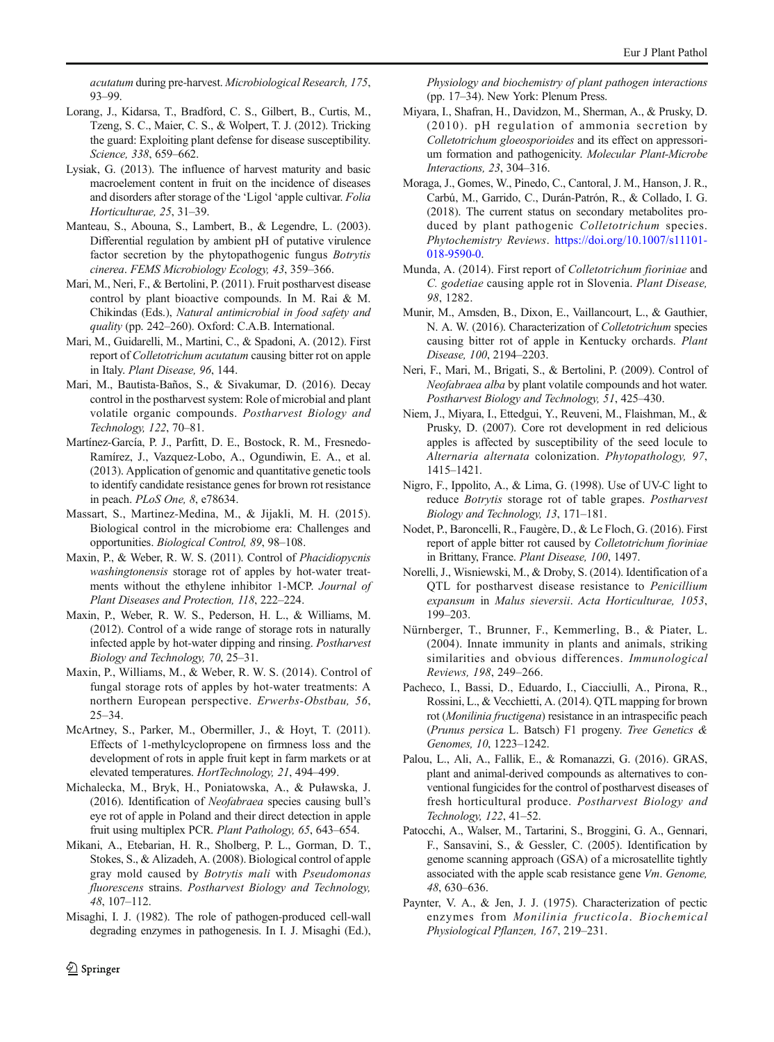<span id="page-15-0"></span>acutatum during pre-harvest. Microbiological Research, 175, 93–99.

- Lorang, J., Kidarsa, T., Bradford, C. S., Gilbert, B., Curtis, M., Tzeng, S. C., Maier, C. S., & Wolpert, T. J. (2012). Tricking the guard: Exploiting plant defense for disease susceptibility. Science, 338, 659–662.
- Lysiak, G. (2013). The influence of harvest maturity and basic macroelement content in fruit on the incidence of diseases and disorders after storage of the 'Ligol 'apple cultivar. Folia Horticulturae, 25, 31–39.
- Manteau, S., Abouna, S., Lambert, B., & Legendre, L. (2003). Differential regulation by ambient pH of putative virulence factor secretion by the phytopathogenic fungus Botrytis cinerea. FEMS Microbiology Ecology, 43, 359–366.
- Mari, M., Neri, F., & Bertolini, P. (2011). Fruit postharvest disease control by plant bioactive compounds. In M. Rai & M. Chikindas (Eds.), Natural antimicrobial in food safety and quality (pp. 242–260). Oxford: C.A.B. International.
- Mari, M., Guidarelli, M., Martini, C., & Spadoni, A. (2012). First report of Colletotrichum acutatum causing bitter rot on apple in Italy. Plant Disease, 96, 144.
- Mari, M., Bautista-Baños, S., & Sivakumar, D. (2016). Decay control in the postharvest system: Role of microbial and plant volatile organic compounds. Postharvest Biology and Technology, 122, 70–81.
- Martínez-García, P. J., Parfitt, D. E., Bostock, R. M., Fresnedo-Ramírez, J., Vazquez-Lobo, A., Ogundiwin, E. A., et al. (2013). Application of genomic and quantitative genetic tools to identify candidate resistance genes for brown rot resistance in peach. PLoS One, 8, e78634.
- Massart, S., Martinez-Medina, M., & Jijakli, M. H. (2015). Biological control in the microbiome era: Challenges and opportunities. Biological Control, 89, 98–108.
- Maxin, P., & Weber, R. W. S. (2011). Control of Phacidiopycnis washingtonensis storage rot of apples by hot-water treatments without the ethylene inhibitor 1-MCP. Journal of Plant Diseases and Protection, 118, 222–224.
- Maxin, P., Weber, R. W. S., Pederson, H. L., & Williams, M. (2012). Control of a wide range of storage rots in naturally infected apple by hot-water dipping and rinsing. Postharvest Biology and Technology, 70, 25–31.
- Maxin, P., Williams, M., & Weber, R. W. S. (2014). Control of fungal storage rots of apples by hot-water treatments: A northern European perspective. Erwerbs-Obstbau, 56, 25–34.
- McArtney, S., Parker, M., Obermiller, J., & Hoyt, T. (2011). Effects of 1-methylcyclopropene on firmness loss and the development of rots in apple fruit kept in farm markets or at elevated temperatures. HortTechnology, 21, 494–499.
- Michalecka, M., Bryk, H., Poniatowska, A., & Puławska, J. (2016). Identification of Neofabraea species causing bull's eye rot of apple in Poland and their direct detection in apple fruit using multiplex PCR. Plant Pathology, 65, 643–654.
- Mikani, A., Etebarian, H. R., Sholberg, P. L., Gorman, D. T., Stokes, S., & Alizadeh, A. (2008). Biological control of apple gray mold caused by Botrytis mali with Pseudomonas fluorescens strains. Postharvest Biology and Technology, 48, 107–112.
- Misaghi, I. J. (1982). The role of pathogen-produced cell-wall degrading enzymes in pathogenesis. In I. J. Misaghi (Ed.),

Physiology and biochemistry of plant pathogen interactions (pp. 17–34). New York: Plenum Press.

- Miyara, I., Shafran, H., Davidzon, M., Sherman, A., & Prusky, D. (2010). pH regulation of ammonia secretion by Colletotrichum gloeosporioides and its effect on appressorium formation and pathogenicity. Molecular Plant-Microbe Interactions, 23, 304–316.
- Moraga, J., Gomes, W., Pinedo, C., Cantoral, J. M., Hanson, J. R., Carbú, M., Garrido, C., Durán-Patrón, R., & Collado, I. G. (2018). The current status on secondary metabolites produced by plant pathogenic Colletotrichum species. Phytochemistry Reviews. [https://doi.org/10.1007/s11101-](https://doi.org/10.1007/s11101-018-9590-0) [018-9590-0](https://doi.org/10.1007/s11101-018-9590-0).
- Munda, A. (2014). First report of Colletotrichum fioriniae and C. godetiae causing apple rot in Slovenia. Plant Disease, 98, 1282.
- Munir, M., Amsden, B., Dixon, E., Vaillancourt, L., & Gauthier, N. A. W. (2016). Characterization of Colletotrichum species causing bitter rot of apple in Kentucky orchards. Plant Disease, 100, 2194–2203.
- Neri, F., Mari, M., Brigati, S., & Bertolini, P. (2009). Control of Neofabraea alba by plant volatile compounds and hot water. Postharvest Biology and Technology, 51, 425–430.
- Niem, J., Miyara, I., Ettedgui, Y., Reuveni, M., Flaishman, M., & Prusky, D. (2007). Core rot development in red delicious apples is affected by susceptibility of the seed locule to Alternaria alternata colonization. Phytopathology, 97, 1415–1421.
- Nigro, F., Ippolito, A., & Lima, G. (1998). Use of UV-C light to reduce Botrytis storage rot of table grapes. Postharvest Biology and Technology, 13, 171–181.
- Nodet, P., Baroncelli, R., Faugère, D., & Le Floch, G. (2016). First report of apple bitter rot caused by Colletotrichum fioriniae in Brittany, France. Plant Disease, 100, 1497.
- Norelli, J., Wisniewski, M., & Droby, S. (2014). Identification of a QTL for postharvest disease resistance to Penicillium expansum in Malus sieversii. Acta Horticulturae, 1053, 199–203.
- Nürnberger, T., Brunner, F., Kemmerling, B., & Piater, L. (2004). Innate immunity in plants and animals, striking similarities and obvious differences. Immunological Reviews, 198, 249–266.
- Pacheco, I., Bassi, D., Eduardo, I., Ciacciulli, A., Pirona, R., Rossini, L., & Vecchietti, A. (2014). QTL mapping for brown rot (Monilinia fructigena) resistance in an intraspecific peach (Prunus persica L. Batsch) F1 progeny. Tree Genetics & Genomes, 10, 1223–1242.
- Palou, L., Ali, A., Fallik, E., & Romanazzi, G. (2016). GRAS, plant and animal-derived compounds as alternatives to conventional fungicides for the control of postharvest diseases of fresh horticultural produce. Postharvest Biology and Technology, 122, 41–52.
- Patocchi, A., Walser, M., Tartarini, S., Broggini, G. A., Gennari, F., Sansavini, S., & Gessler, C. (2005). Identification by genome scanning approach (GSA) of a microsatellite tightly associated with the apple scab resistance gene Vm. Genome, 48, 630–636.
- Paynter, V. A., & Jen, J. J. (1975). Characterization of pectic enzymes from Monilinia fructicola. Biochemical Physiological Pflanzen, 167, 219–231.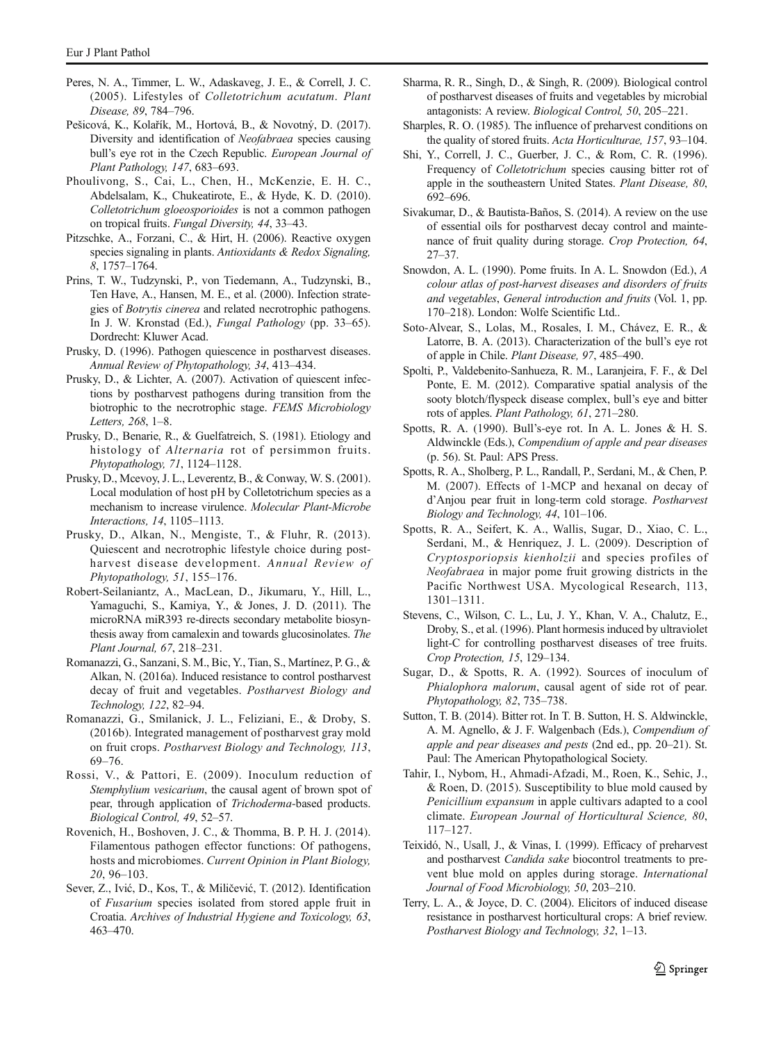- <span id="page-16-0"></span>Peres, N. A., Timmer, L. W., Adaskaveg, J. E., & Correll, J. C. (2005). Lifestyles of Colletotrichum acutatum. Plant Disease, 89, 784–796.
- Pešicová, K., Kolařík, M., Hortová, B., & Novotný, D. (2017). Diversity and identification of Neofabraea species causing bull's eye rot in the Czech Republic. European Journal of Plant Pathology, 147, 683–693.
- Phoulivong, S., Cai, L., Chen, H., McKenzie, E. H. C., Abdelsalam, K., Chukeatirote, E., & Hyde, K. D. (2010). Colletotrichum gloeosporioides is not a common pathogen on tropical fruits. Fungal Diversity, 44, 33–43.
- Pitzschke, A., Forzani, C., & Hirt, H. (2006). Reactive oxygen species signaling in plants. Antioxidants & Redox Signaling, 8, 1757–1764.
- Prins, T. W., Tudzynski, P., von Tiedemann, A., Tudzynski, B., Ten Have, A., Hansen, M. E., et al. (2000). Infection strategies of Botrytis cinerea and related necrotrophic pathogens. In J. W. Kronstad (Ed.), Fungal Pathology (pp. 33–65). Dordrecht: Kluwer Acad.
- Prusky, D. (1996). Pathogen quiescence in postharvest diseases. Annual Review of Phytopathology, 34, 413–434.
- Prusky, D., & Lichter, A. (2007). Activation of quiescent infections by postharvest pathogens during transition from the biotrophic to the necrotrophic stage. FEMS Microbiology Letters, 268, 1–8.
- Prusky, D., Benarie, R., & Guelfatreich, S. (1981). Etiology and histology of Alternaria rot of persimmon fruits. Phytopathology, 71, 1124–1128.
- Prusky, D., Mcevoy, J. L., Leverentz, B., & Conway, W. S. (2001). Local modulation of host pH by Colletotrichum species as a mechanism to increase virulence. Molecular Plant-Microbe Interactions, 14, 1105–1113.
- Prusky, D., Alkan, N., Mengiste, T., & Fluhr, R. (2013). Quiescent and necrotrophic lifestyle choice during postharvest disease development. Annual Review of Phytopathology, 51, 155–176.
- Robert-Seilaniantz, A., MacLean, D., Jikumaru, Y., Hill, L., Yamaguchi, S., Kamiya, Y., & Jones, J. D. (2011). The microRNA miR393 re-directs secondary metabolite biosynthesis away from camalexin and towards glucosinolates. The Plant Journal, 67, 218–231.
- Romanazzi, G., Sanzani, S. M., Bic, Y., Tian, S., Martínez, P. G., & Alkan, N. (2016a). Induced resistance to control postharvest decay of fruit and vegetables. Postharvest Biology and Technology, 122, 82–94.
- Romanazzi, G., Smilanick, J. L., Feliziani, E., & Droby, S. (2016b). Integrated management of postharvest gray mold on fruit crops. Postharvest Biology and Technology, 113, 69–76.
- Rossi, V., & Pattori, E. (2009). Inoculum reduction of Stemphylium vesicarium, the causal agent of brown spot of pear, through application of Trichoderma-based products. Biological Control, 49, 52–57.
- Rovenich, H., Boshoven, J. C., & Thomma, B. P. H. J. (2014). Filamentous pathogen effector functions: Of pathogens, hosts and microbiomes. Current Opinion in Plant Biology, 20, 96–103.
- Sever, Z., Ivić, D., Kos, T., & Miličević, T. (2012). Identification of Fusarium species isolated from stored apple fruit in Croatia. Archives of Industrial Hygiene and Toxicology, 63, 463–470.
- Sharma, R. R., Singh, D., & Singh, R. (2009). Biological control of postharvest diseases of fruits and vegetables by microbial antagonists: A review. Biological Control, 50, 205–221.
- Sharples, R. O. (1985). The influence of preharvest conditions on the quality of stored fruits. Acta Horticulturae, 157, 93–104.
- Shi, Y., Correll, J. C., Guerber, J. C., & Rom, C. R. (1996). Frequency of Colletotrichum species causing bitter rot of apple in the southeastern United States. Plant Disease, 80, 692–696.
- Sivakumar, D., & Bautista-Baños, S. (2014). A review on the use of essential oils for postharvest decay control and maintenance of fruit quality during storage. Crop Protection, 64, 27–37.
- Snowdon, A. L. (1990). Pome fruits. In A. L. Snowdon (Ed.), A colour atlas of post-harvest diseases and disorders of fruits and vegetables, General introduction and fruits (Vol. 1, pp. 170–218). London: Wolfe Scientific Ltd..
- Soto-Alvear, S., Lolas, M., Rosales, I. M., Chávez, E. R., & Latorre, B. A. (2013). Characterization of the bull's eye rot of apple in Chile. Plant Disease, 97, 485–490.
- Spolti, P., Valdebenito-Sanhueza, R. M., Laranjeira, F. F., & Del Ponte, E. M. (2012). Comparative spatial analysis of the sooty blotch/flyspeck disease complex, bull's eye and bitter rots of apples. Plant Pathology, 61, 271–280.
- Spotts, R. A. (1990). Bull's-eye rot. In A. L. Jones & H. S. Aldwinckle (Eds.), Compendium of apple and pear diseases (p. 56). St. Paul: APS Press.
- Spotts, R. A., Sholberg, P. L., Randall, P., Serdani, M., & Chen, P. M. (2007). Effects of 1-MCP and hexanal on decay of d'Anjou pear fruit in long-term cold storage. Postharvest Biology and Technology, 44, 101–106.
- Spotts, R. A., Seifert, K. A., Wallis, Sugar, D., Xiao, C. L., Serdani, M., & Henriquez, J. L. (2009). Description of Cryptosporiopsis kienholzii and species profiles of Neofabraea in major pome fruit growing districts in the Pacific Northwest USA. Mycological Research, 113, 1301–1311.
- Stevens, C., Wilson, C. L., Lu, J. Y., Khan, V. A., Chalutz, E., Droby, S., et al. (1996). Plant hormesis induced by ultraviolet light-C for controlling postharvest diseases of tree fruits. Crop Protection, 15, 129–134.
- Sugar, D., & Spotts, R. A. (1992). Sources of inoculum of Phialophora malorum, causal agent of side rot of pear. Phytopathology, 82, 735–738.
- Sutton, T. B. (2014). Bitter rot. In T. B. Sutton, H. S. Aldwinckle, A. M. Agnello, & J. F. Walgenbach (Eds.), Compendium of apple and pear diseases and pests (2nd ed., pp. 20–21). St. Paul: The American Phytopathological Society.
- Tahir, I., Nybom, H., Ahmadi-Afzadi, M., Roen, K., Sehic, J., & Roen, D. (2015). Susceptibility to blue mold caused by Penicillium expansum in apple cultivars adapted to a cool climate. European Journal of Horticultural Science, 80, 117–127.
- Teixidó, N., Usall, J., & Vinas, I. (1999). Efficacy of preharvest and postharvest Candida sake biocontrol treatments to prevent blue mold on apples during storage. International Journal of Food Microbiology, 50, 203–210.
- Terry, L. A., & Joyce, D. C. (2004). Elicitors of induced disease resistance in postharvest horticultural crops: A brief review. Postharvest Biology and Technology, 32, 1–13.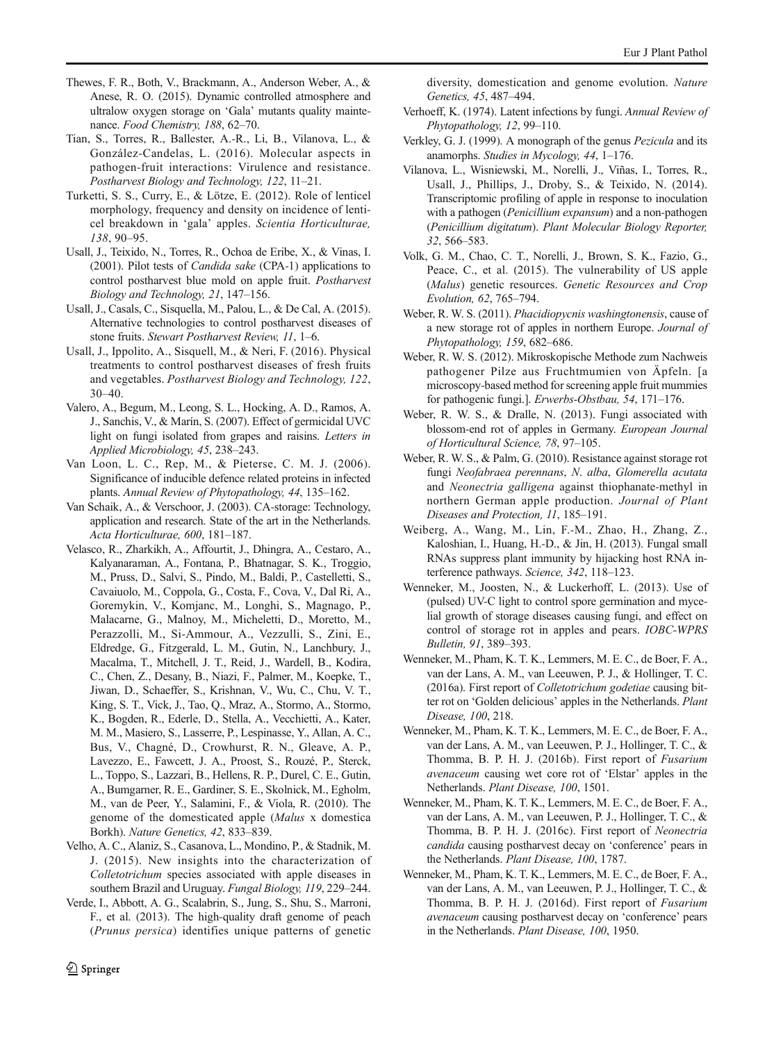- <span id="page-17-0"></span>Thewes, F. R., Both, V., Brackmann, A., Anderson Weber, A., & Anese, R. O. (2015). Dynamic controlled atmosphere and ultralow oxygen storage on 'Gala' mutants quality maintenance. Food Chemistry, 188, 62–70.
- Tian, S., Torres, R., Ballester, A.-R., Li, B., Vilanova, L., & González-Candelas, L. (2016). Molecular aspects in pathogen-fruit interactions: Virulence and resistance. Postharvest Biology and Technology, 122, 11–21.
- Turketti, S. S., Curry, E., & Lötze, E. (2012). Role of lenticel morphology, frequency and density on incidence of lenticel breakdown in 'gala' apples. Scientia Horticulturae, 138, 90–95.
- Usall, J., Teixido, N., Torres, R., Ochoa de Eribe, X., & Vinas, I. (2001). Pilot tests of Candida sake (CPA-1) applications to control postharvest blue mold on apple fruit. Postharvest Biology and Technology, 21, 147–156.
- Usall, J., Casals, C., Sisquella, M., Palou, L., & De Cal, A. (2015). Alternative technologies to control postharvest diseases of stone fruits. Stewart Postharvest Review, 11, 1–6.
- Usall, J., Ippolito, A., Sisquell, M., & Neri, F. (2016). Physical treatments to control postharvest diseases of fresh fruits and vegetables. Postharvest Biology and Technology, 122, 30–40.
- Valero, A., Begum, M., Leong, S. L., Hocking, A. D., Ramos, A. J., Sanchis, V., & Marín, S. (2007). Effect of germicidal UVC light on fungi isolated from grapes and raisins. Letters in Applied Microbiology, 45, 238–243.
- Van Loon, L. C., Rep, M., & Pieterse, C. M. J. (2006). Significance of inducible defence related proteins in infected plants. Annual Review of Phytopathology, 44, 135–162.
- Van Schaik, A., & Verschoor, J. (2003). CA-storage: Technology, application and research. State of the art in the Netherlands. Acta Horticulturae, 600, 181–187.
- Velasco, R., Zharkikh, A., Affourtit, J., Dhingra, A., Cestaro, A., Kalyanaraman, A., Fontana, P., Bhatnagar, S. K., Troggio, M., Pruss, D., Salvi, S., Pindo, M., Baldi, P., Castelletti, S., Cavaiuolo, M., Coppola, G., Costa, F., Cova, V., Dal Ri, A., Goremykin, V., Komjanc, M., Longhi, S., Magnago, P., Malacarne, G., Malnoy, M., Micheletti, D., Moretto, M., Perazzolli, M., Si-Ammour, A., Vezzulli, S., Zini, E., Eldredge, G., Fitzgerald, L. M., Gutin, N., Lanchbury, J., Macalma, T., Mitchell, J. T., Reid, J., Wardell, B., Kodira, C., Chen, Z., Desany, B., Niazi, F., Palmer, M., Koepke, T., Jiwan, D., Schaeffer, S., Krishnan, V., Wu, C., Chu, V. T., King, S. T., Vick, J., Tao, Q., Mraz, A., Stormo, A., Stormo, K., Bogden, R., Ederle, D., Stella, A., Vecchietti, A., Kater, M. M., Masiero, S., Lasserre, P., Lespinasse, Y., Allan, A. C., Bus, V., Chagné, D., Crowhurst, R. N., Gleave, A. P., Lavezzo, E., Fawcett, J. A., Proost, S., Rouzé, P., Sterck, L., Toppo, S., Lazzari, B., Hellens, R. P., Durel, C. E., Gutin, A., Bumgarner, R. E., Gardiner, S. E., Skolnick, M., Egholm, M., van de Peer, Y., Salamini, F., & Viola, R. (2010). The genome of the domesticated apple (Malus x domestica Borkh). Nature Genetics, 42, 833–839.
- Velho, A. C., Alaniz, S., Casanova, L., Mondino, P., & Stadnik, M. J. (2015). New insights into the characterization of Colletotrichum species associated with apple diseases in southern Brazil and Uruguay. Fungal Biology, 119, 229–244.
- Verde, I., Abbott, A. G., Scalabrin, S., Jung, S., Shu, S., Marroni, F., et al. (2013). The high-quality draft genome of peach (Prunus persica) identifies unique patterns of genetic

diversity, domestication and genome evolution. Nature Genetics, 45, 487–494.

- Verhoeff, K. (1974). Latent infections by fungi. Annual Review of Phytopathology, 12, 99–110.
- Verkley, G. J. (1999). A monograph of the genus Pezicula and its anamorphs. Studies in Mycology, 44, 1–176.
- Vilanova, L., Wisniewski, M., Norelli, J., Viñas, I., Torres, R., Usall, J., Phillips, J., Droby, S., & Teixido, N. (2014). Transcriptomic profiling of apple in response to inoculation with a pathogen (Penicillium expansum) and a non-pathogen (Penicillium digitatum). Plant Molecular Biology Reporter, 32, 566–583.
- Volk, G. M., Chao, C. T., Norelli, J., Brown, S. K., Fazio, G., Peace, C., et al. (2015). The vulnerability of US apple (Malus) genetic resources. Genetic Resources and Crop Evolution, 62, 765–794.
- Weber, R. W. S. (2011). Phacidiopycnis washingtonensis, cause of a new storage rot of apples in northern Europe. Journal of Phytopathology, 159, 682–686.
- Weber, R. W. S. (2012). Mikroskopische Methode zum Nachweis pathogener Pilze aus Fruchtmumien von Äpfeln. [a microscopy-based method for screening apple fruit mummies for pathogenic fungi.]. Erwerbs-Obstbau, 54, 171–176.
- Weber, R. W. S., & Dralle, N. (2013). Fungi associated with blossom-end rot of apples in Germany. European Journal of Horticultural Science, 78, 97–105.
- Weber, R. W. S., & Palm, G. (2010). Resistance against storage rot fungi Neofabraea perennans, N. alba, Glomerella acutata and Neonectria galligena against thiophanate-methyl in northern German apple production. Journal of Plant Diseases and Protection, 11, 185–191.
- Weiberg, A., Wang, M., Lin, F.-M., Zhao, H., Zhang, Z., Kaloshian, I., Huang, H.-D., & Jin, H. (2013). Fungal small RNAs suppress plant immunity by hijacking host RNA interference pathways. Science, 342, 118–123.
- Wenneker, M., Joosten, N., & Luckerhoff, L. (2013). Use of (pulsed) UV-C light to control spore germination and mycelial growth of storage diseases causing fungi, and effect on control of storage rot in apples and pears. IOBC-WPRS Bulletin, 91, 389–393.
- Wenneker, M., Pham, K. T. K., Lemmers, M. E. C., de Boer, F. A., van der Lans, A. M., van Leeuwen, P. J., & Hollinger, T. C. (2016a). First report of Colletotrichum godetiae causing bitter rot on 'Golden delicious' apples in the Netherlands. Plant Disease, 100, 218.
- Wenneker, M., Pham, K. T. K., Lemmers, M. E. C., de Boer, F. A., van der Lans, A. M., van Leeuwen, P. J., Hollinger, T. C., & Thomma, B. P. H. J. (2016b). First report of Fusarium avenaceum causing wet core rot of 'Elstar' apples in the Netherlands. Plant Disease, 100, 1501.
- Wenneker, M., Pham, K. T. K., Lemmers, M. E. C., de Boer, F. A., van der Lans, A. M., van Leeuwen, P. J., Hollinger, T. C., & Thomma, B. P. H. J. (2016c). First report of Neonectria candida causing postharvest decay on 'conference' pears in the Netherlands. Plant Disease, 100, 1787.
- Wenneker, M., Pham, K. T. K., Lemmers, M. E. C., de Boer, F. A., van der Lans, A. M., van Leeuwen, P. J., Hollinger, T. C., & Thomma, B. P. H. J. (2016d). First report of Fusarium avenaceum causing postharvest decay on 'conference' pears in the Netherlands. Plant Disease, 100, 1950.